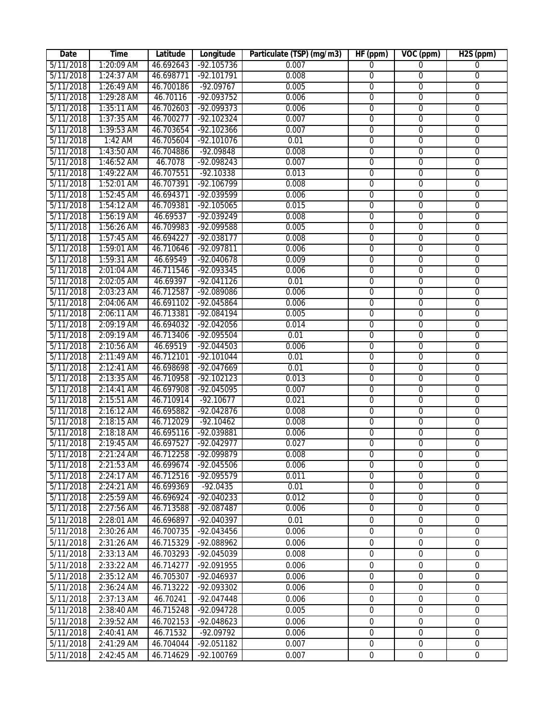| Date      | Time         | Latitude  | Longitude            | Particulate (TSP) (mg/m3) | HF (ppm)         | VOC (ppm)        | H <sub>2</sub> S (ppm) |
|-----------|--------------|-----------|----------------------|---------------------------|------------------|------------------|------------------------|
| 5/11/2018 | 1:20:09 AM   | 46.692643 | $-92.105736$         | 0.007                     | $\overline{0}$   | $\overline{0}$   | $\overline{0}$         |
| 5/11/2018 | 1:24:37 AM   | 46.698771 | $-92.101791$         | 0.008                     | $\overline{0}$   | $\overline{0}$   | 0                      |
| 5/11/2018 | 1:26:49 AM   | 46.700186 | $-92.09767$          | 0.005                     | $\overline{0}$   | $\overline{0}$   | $\overline{0}$         |
| 5/11/2018 | 1:29:28 AM   | 46.70116  | $-92.093752$         | 0.006                     | $\overline{0}$   | $\overline{0}$   | $\overline{0}$         |
| 5/11/2018 | 1:35:11 AM   | 46.702603 | $-92.099373$         | 0.006                     | $\overline{0}$   | $\overline{0}$   | $\overline{0}$         |
| 5/11/2018 | 1:37:35 AM   | 46.700277 | $-92.102324$         | 0.007                     | $\overline{0}$   | $\overline{0}$   | 0                      |
| 5/11/2018 | 1:39:53 AM   | 46.703654 | $-92.102366$         | 0.007                     | $\overline{0}$   | $\overline{0}$   | $\overline{0}$         |
| 5/11/2018 | 1:42 AM      | 46.705604 | $-92.101076$         | 0.01                      | $\overline{0}$   | $\overline{0}$   | $\overline{0}$         |
| 5/11/2018 | 1:43:50 AM   | 46.704886 | -92.09848            | 0.008                     | $\mathbf 0$      | $\overline{0}$   | $\overline{0}$         |
| 5/11/2018 | 1:46:52 AM   | 46.7078   | $-92.098243$         | 0.007                     | $\overline{0}$   | $\overline{0}$   | $\overline{0}$         |
| 5/11/2018 | 1:49:22 AM   | 46.707551 | $-92.10338$          | 0.013                     | $\mathbf 0$      | $\overline{0}$   | $\overline{0}$         |
| 5/11/2018 | 1:52:01 AM   | 46.707391 | $-92.106799$         | 0.008                     | $\overline{0}$   | $\overline{0}$   | $\overline{0}$         |
| 5/11/2018 | 1:52:45 AM   | 46.694371 | -92.039599           | 0.006                     | $\mathbf 0$      | $\overline{0}$   | $\overline{0}$         |
| 5/11/2018 | 1:54:12 AM   | 46.709381 | $-92.105065$         | 0.015                     | $\overline{0}$   | $\overline{0}$   | $\overline{0}$         |
| 5/11/2018 | 1:56:19 AM   | 46.69537  | $-92.039249$         | 0.008                     | $\mathbf 0$      | $\mathbf 0$      | 0                      |
| 5/11/2018 | 1:56:26 AM   | 46.709983 | -92.099588           | 0.005                     | $\mathbf 0$      | $\overline{0}$   | 0                      |
| 5/11/2018 | $1:57:45$ AM | 46.694227 | $-92.038177$         | 0.008                     | $\mathbf 0$      | $\overline{0}$   | $\overline{0}$         |
| 5/11/2018 | 1:59:01 AM   | 46.710646 | $-92.097811$         | 0.006                     | $\mathbf 0$      | $\mathbf 0$      | 0                      |
| 5/11/2018 | 1:59:31 AM   | 46.69549  | $-92.040678$         | 0.009                     | $\overline{0}$   | $\overline{0}$   | $\overline{0}$         |
| 5/11/2018 | 2:01:04 AM   | 46.711546 | -92.093345           | 0.006                     | $\overline{0}$   | $\overline{0}$   | $\overline{0}$         |
| 5/11/2018 | 2:02:05 AM   | 46.69397  | $-92.041126$         | 0.01                      | $\mathbf 0$      | $\overline{0}$   | 0                      |
| 5/11/2018 | 2:03:23 AM   | 46.712587 | -92.089086           | 0.006                     | $\overline{0}$   | $\overline{0}$   | $\overline{0}$         |
| 5/11/2018 | 2:04:06 AM   | 46.691102 | -92.045864           | 0.006                     | $\overline{0}$   | $\overline{0}$   | $\overline{0}$         |
| 5/11/2018 | 2:06:11 AM   | 46.713381 | -92.084194           | 0.005                     | $\overline{0}$   | $\overline{0}$   | $\overline{0}$         |
| 5/11/2018 | 2:09:19 AM   | 46.694032 | $-92.042056$         | 0.014                     | $\overline{0}$   | $\overline{0}$   | $\overline{0}$         |
| 5/11/2018 | 2:09:19 AM   | 46.713406 | -92.095504           | 0.01                      | $\overline{0}$   | $\overline{0}$   | $\overline{0}$         |
| 5/11/2018 | 2:10:56 AM   | 46.69519  | $-92.044503$         | 0.006                     | $\overline{0}$   | $\overline{0}$   | $\overline{0}$         |
| 5/11/2018 | 2:11:49 AM   | 46.712101 | $-92.101044$         | 0.01                      | $\mathbf 0$      | $\mathbf 0$      | $\mathbf 0$            |
| 5/11/2018 | 2:12:41 AM   | 46.698698 | $-92.047669$         | 0.01                      | $\overline{0}$   | $\overline{0}$   | $\overline{0}$         |
| 5/11/2018 | 2:13:35 AM   | 46.710958 | $-92.102123$         | 0.013                     | $\overline{0}$   | $\overline{0}$   | $\overline{0}$         |
| 5/11/2018 | 2:14:41 AM   | 46.697908 | $-92.045095$         | 0.007                     | $\overline{0}$   | $\overline{0}$   | $\overline{0}$         |
| 5/11/2018 | 2:15:51 AM   | 46.710914 | $-92.10677$          | 0.021                     | 0                | $\overline{0}$   | $\overline{0}$         |
| 5/11/2018 | 2:16:12 AM   | 46.695882 | $-92.042876$         | 0.008                     | 0                | $\overline{0}$   | 0                      |
| 5/11/2018 | 2:18:15 AM   | 46.712029 | $-92.10462$          | 0.008                     | $\mathbf 0$      | $\overline{0}$   | 0                      |
| 5/11/2018 | 2:18:18 AM   | 46.695116 | $-92.039881$         | 0.006                     | $\mathbf 0$      | $\mathbf 0$      | 0                      |
| 5/11/2018 | 2:19:45 AM   | 46.697527 | $-92.042977$         | 0.027                     | $\mathbf{0}$     | 0                | 0                      |
| 5/11/2018 | 2:21:24 AM   |           | 46.712258 -92.099879 | 0.008                     | $\boldsymbol{0}$ | $\overline{0}$   | $\overline{0}$         |
| 5/11/2018 | 2:21:53 AM   | 46.699674 | $-92.045506$         | 0.006                     | $\mathbf 0$      | $\mathbf 0$      | $\mathbf 0$            |
| 5/11/2018 | 2:24:17 AM   | 46.712516 | $-92.095579$         | 0.011                     | $\mathbf{0}$     | $\overline{0}$   | $\mathbf{0}$           |
| 5/11/2018 | 2:24:21 AM   | 46.699369 | $-92.0435$           | 0.01                      | $\overline{0}$   | $\overline{0}$   | $\overline{0}$         |
| 5/11/2018 | 2:25:59 AM   | 46.696924 | $-92.040233$         | 0.012                     | $\mathbf 0$      | $\overline{0}$   | $\mathbf 0$            |
| 5/11/2018 | 2:27:56 AM   | 46.713588 | -92.087487           | 0.006                     | $\mathbf 0$      | $\overline{0}$   | $\overline{0}$         |
| 5/11/2018 | 2:28:01 AM   | 46.696897 | -92.040397           | 0.01                      | $\mathbf 0$      | $\boldsymbol{0}$ | $\boldsymbol{0}$       |
| 5/11/2018 | 2:30:26 AM   | 46.700735 | -92.043456           | 0.006                     | $\mathbf 0$      | $\mathbf 0$      | $\mathbf 0$            |
| 5/11/2018 | 2:31:26 AM   | 46.715329 | -92.088962           | 0.006                     | $\mathbf 0$      | $\boldsymbol{0}$ | $\boldsymbol{0}$       |
| 5/11/2018 | 2:33:13 AM   | 46.703293 | -92.045039           | 0.008                     | $\mathbf 0$      | $\mathbf 0$      | $\boldsymbol{0}$       |
| 5/11/2018 | 2:33:22 AM   | 46.714277 | -92.091955           | 0.006                     | 0                | $\boldsymbol{0}$ | 0                      |
| 5/11/2018 | 2:35:12 AM   | 46.705307 | -92.046937           | 0.006                     | $\mathbf 0$      | $\mathbf 0$      | $\mathbf 0$            |
| 5/11/2018 | 2:36:24 AM   | 46.713222 | -92.093302           | 0.006                     | $\mathbf 0$      | $\mathbf 0$      | $\mathbf 0$            |
| 5/11/2018 | 2:37:13 AM   | 46.70241  | -92.047448           | 0.006                     | $\mathbf 0$      | $\mathbf 0$      | $\mathbf 0$            |
| 5/11/2018 | 2:38:40 AM   | 46.715248 | -92.094728           | 0.005                     | $\mathbf{0}$     | $\mathbf 0$      | $\boldsymbol{0}$       |
| 5/11/2018 | 2:39:52 AM   | 46.702153 | -92.048623           | 0.006                     | $\boldsymbol{0}$ | $\mathbf 0$      | $\mathbf 0$            |
| 5/11/2018 | 2:40:41 AM   | 46.71532  | -92.09792            | 0.006                     | $\mathbf 0$      | $\mathbf 0$      | $\mathbf 0$            |
| 5/11/2018 | 2:41:29 AM   | 46.704044 | -92.051182           | 0.007                     | $\boldsymbol{0}$ | $\boldsymbol{0}$ | $\boldsymbol{0}$       |
|           |              |           |                      |                           |                  |                  |                        |
| 5/11/2018 | 2:42:45 AM   | 46.714629 | -92.100769           | 0.007                     | $\overline{0}$   | $\mathbf 0$      | $\mathbf 0$            |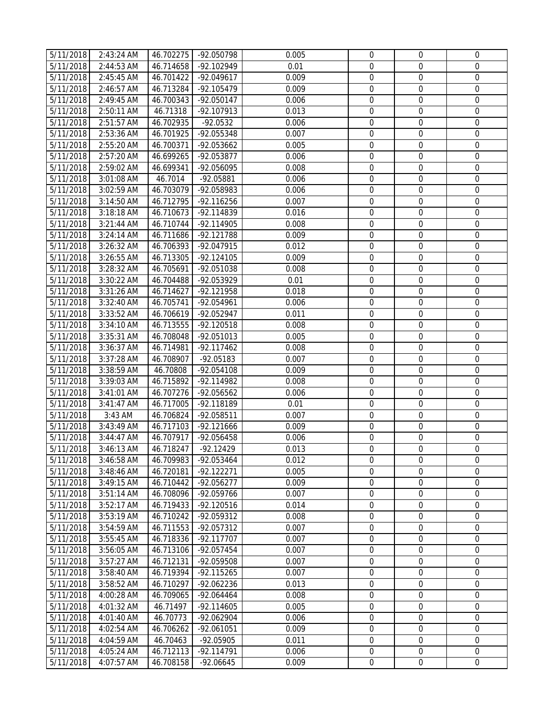| 5/11/2018 | 2:43:24 AM | 46.702275 | -92.050798   | 0.005 | $\mathbf 0$      | $\mathbf{0}$     | 0                |
|-----------|------------|-----------|--------------|-------|------------------|------------------|------------------|
| 5/11/2018 | 2:44:53 AM | 46.714658 | -92.102949   | 0.01  | $\mathbf 0$      | $\mathbf{0}$     | $\mathbf{0}$     |
| 5/11/2018 | 2:45:45 AM | 46.701422 | $-92.049617$ | 0.009 | $\mathbf 0$      | $\mathbf{0}$     | $\boldsymbol{0}$ |
| 5/11/2018 | 2:46:57 AM | 46.713284 | -92.105479   | 0.009 | $\mathbf 0$      | $\mathbf 0$      | $\mathbf 0$      |
| 5/11/2018 | 2:49:45 AM | 46.700343 | $-92.050147$ | 0.006 | $\mathbf 0$      | $\mathbf 0$      | $\boldsymbol{0}$ |
| 5/11/2018 | 2:50:11 AM | 46.71318  | -92.107913   | 0.013 | $\mathbf 0$      | $\mathbf 0$      | $\boldsymbol{0}$ |
| 5/11/2018 | 2:51:57 AM | 46.702935 | $-92.0532$   | 0.006 | $\mathbf 0$      | $\mathbf 0$      | $\boldsymbol{0}$ |
| 5/11/2018 | 2:53:36 AM | 46.701925 | -92.055348   | 0.007 | $\mathbf 0$      | $\boldsymbol{0}$ | $\mathbf 0$      |
| 5/11/2018 | 2:55:20 AM | 46.700371 | -92.053662   | 0.005 | $\mathbf 0$      | $\mathbf 0$      | $\mathbf 0$      |
| 5/11/2018 | 2:57:20 AM | 46.699265 | -92.053877   | 0.006 | $\mathbf 0$      | $\mathbf 0$      | $\mathbf 0$      |
| 5/11/2018 | 2:59:02 AM | 46.699341 | -92.056095   | 0.008 | $\mathbf 0$      | $\mathbf 0$      | $\boldsymbol{0}$ |
| 5/11/2018 | 3:01:08 AM | 46.7014   | $-92.05881$  | 0.006 | $\boldsymbol{0}$ | $\boldsymbol{0}$ | $\mathbf 0$      |
| 5/11/2018 | 3:02:59 AM | 46.703079 | -92.058983   | 0.006 | $\mathbf 0$      | $\mathbf 0$      | $\mathbf 0$      |
| 5/11/2018 | 3:14:50 AM | 46.712795 | $-92.116256$ | 0.007 | $\mathbf 0$      | $\mathbf 0$      | $\boldsymbol{0}$ |
| 5/11/2018 | 3:18:18 AM | 46.710673 | -92.114839   | 0.016 | $\mathbf 0$      | $\boldsymbol{0}$ | $\boldsymbol{0}$ |
| 5/11/2018 | 3:21:44 AM | 46.710744 | -92.114905   | 0.008 | $\boldsymbol{0}$ | $\boldsymbol{0}$ | 0                |
| 5/11/2018 | 3:24:14 AM | 46.711686 | -92.121788   | 0.009 | $\boldsymbol{0}$ | $\boldsymbol{0}$ | $\boldsymbol{0}$ |
| 5/11/2018 | 3:26:32 AM | 46.706393 | -92.047915   | 0.012 | $\mathbf 0$      | $\mathbf 0$      | $\mathbf 0$      |
| 5/11/2018 | 3:26:55 AM | 46.713305 | $-92.124105$ | 0.009 | $\boldsymbol{0}$ | $\boldsymbol{0}$ | $\boldsymbol{0}$ |
| 5/11/2018 | 3:28:32 AM | 46.705691 | -92.051038   | 0.008 | $\boldsymbol{0}$ | $\boldsymbol{0}$ | $\mathbf 0$      |
| 5/11/2018 | 3:30:22 AM | 46.704488 | -92.053929   | 0.01  | $\mathbf 0$      | $\boldsymbol{0}$ | $\boldsymbol{0}$ |
| 5/11/2018 | 3:31:26 AM | 46.714627 | -92.121958   | 0.018 | $\mathbf 0$      | $\boldsymbol{0}$ | $\boldsymbol{0}$ |
| 5/11/2018 | 3:32:40 AM | 46.705741 | -92.054961   | 0.006 | $\mathbf 0$      | $\mathbf 0$      | $\boldsymbol{0}$ |
| 5/11/2018 | 3:33:52 AM | 46.706619 | -92.052947   | 0.011 | $\boldsymbol{0}$ | $\boldsymbol{0}$ | 0                |
| 5/11/2018 | 3:34:10 AM | 46.713555 | $-92.120518$ | 0.008 | $\mathbf 0$      | $\boldsymbol{0}$ | 0                |
| 5/11/2018 | 3:35:31 AM | 46.708048 | $-92.051013$ | 0.005 | $\mathbf 0$      | $\boldsymbol{0}$ | $\mathbf 0$      |
| 5/11/2018 | 3:36:37 AM | 46.714981 | $-92.117462$ | 0.008 | $\mathbf 0$      | $\boldsymbol{0}$ | $\mathbf 0$      |
| 5/11/2018 | 3:37:28 AM | 46.708907 | $-92.05183$  | 0.007 | $\boldsymbol{0}$ | $\boldsymbol{0}$ | $\boldsymbol{0}$ |
| 5/11/2018 | 3:38:59 AM | 46.70808  | -92.054108   | 0.009 | $\mathbf 0$      | $\mathbf 0$      | $\mathbf 0$      |
| 5/11/2018 | 3:39:03 AM | 46.715892 | -92.114982   | 0.008 | $\boldsymbol{0}$ | $\boldsymbol{0}$ | $\boldsymbol{0}$ |
| 5/11/2018 | 3:41:01 AM | 46.707276 | -92.056562   | 0.006 | $\boldsymbol{0}$ | $\boldsymbol{0}$ | $\boldsymbol{0}$ |
| 5/11/2018 | 3:41:47 AM | 46.717005 | -92.118189   | 0.01  | $\boldsymbol{0}$ | $\boldsymbol{0}$ | $\boldsymbol{0}$ |
| 5/11/2018 | 3:43 AM    | 46.706824 | -92.058511   | 0.007 | $\mathbf 0$      | $\mathbf 0$      | $\mathbf 0$      |
| 5/11/2018 | 3:43:49 AM | 46.717103 | $-92.121666$ | 0.009 | $\mathbf 0$      | $\boldsymbol{0}$ | $\boldsymbol{0}$ |
| 5/11/2018 | 3:44:47 AM | 46.707917 | -92.056458   | 0.006 | $\mathbf 0$      | $\boldsymbol{0}$ | $\boldsymbol{0}$ |
| 5/11/2018 | 3:46:13 AM | 46.718247 | $-92.12429$  | 0.013 | $\mathbf 0$      | $\mathbf 0$      | $\mathbf 0$      |
| 5/11/2018 | 3:46:58 AM | 46.709983 | -92.053464   | 0.012 | 0                | $\mathbf 0$      | 0                |
| 5/11/2018 | 3:48:46 AM | 46.720181 | $-92.122271$ | 0.005 | $\Omega$         | $\Omega$         | $\mathbf 0$      |
| 5/11/2018 | 3:49:15 AM | 46.710442 | $-92.056277$ | 0.009 | $\mathbf 0$      | $\mathbf 0$      | $\mathbf 0$      |
| 5/11/2018 | 3:51:14 AM | 46.708096 | -92.059766   | 0.007 | $\mathbf 0$      | $\mathbf 0$      | 0                |
| 5/11/2018 | 3:52:17 AM | 46.719433 | $-92.120516$ | 0.014 | $\mathbf 0$      | $\mathbf 0$      | $\mathbf 0$      |
| 5/11/2018 | 3:53:19 AM | 46.710242 | -92.059312   | 0.008 | $\mathbf 0$      | $\mathbf 0$      | $\mathbf 0$      |
| 5/11/2018 | 3:54:59 AM | 46.711553 | -92.057312   | 0.007 | $\mathbf 0$      | $\Omega$         | $\overline{0}$   |
| 5/11/2018 | 3:55:45 AM | 46.718336 | -92.117707   | 0.007 | $\mathbf 0$      | $\mathbf 0$      | $\mathbf 0$      |
| 5/11/2018 | 3:56:05 AM | 46.713106 | -92.057454   | 0.007 | $\boldsymbol{0}$ | $\boldsymbol{0}$ | $\mathbf 0$      |
| 5/11/2018 | 3:57:27 AM | 46.712131 | -92.059508   | 0.007 | $\mathbf 0$      | $\mathbf 0$      | $\mathbf 0$      |
| 5/11/2018 | 3:58:40 AM | 46.719394 | $-92.115265$ | 0.007 | $\mathbf 0$      | $\mathbf 0$      | $\boldsymbol{0}$ |
| 5/11/2018 | 3:58:52 AM | 46.710297 | -92.062236   | 0.013 | $\boldsymbol{0}$ | $\boldsymbol{0}$ | 0                |
| 5/11/2018 | 4:00:28 AM | 46.709065 | $-92.064464$ | 0.008 | $\boldsymbol{0}$ | $\boldsymbol{0}$ | $\boldsymbol{0}$ |
| 5/11/2018 | 4:01:32 AM | 46.71497  | $-92.114605$ | 0.005 | $\mathbf 0$      | $\boldsymbol{0}$ | 0                |
| 5/11/2018 | 4:01:40 AM | 46.70773  | -92.062904   | 0.006 | $\mathbf 0$      | $\overline{0}$   | $\mathbf 0$      |
| 5/11/2018 | 4:02:54 AM | 46.706262 | -92.061051   | 0.009 | $\mathbf 0$      | $\overline{0}$   | $\boldsymbol{0}$ |
| 5/11/2018 | 4:04:59 AM | 46.70463  | $-92.05905$  | 0.011 | $\boldsymbol{0}$ | $\mathbf 0$      | $\boldsymbol{0}$ |
| 5/11/2018 | 4:05:24 AM | 46.712113 | $-92.114791$ | 0.006 | $\boldsymbol{0}$ | $\boldsymbol{0}$ | 0                |
| 5/11/2018 | 4:07:57 AM | 46.708158 | $-92.06645$  | 0.009 | 0                | $\mathbf 0$      | $\boldsymbol{0}$ |
|           |            |           |              |       |                  |                  |                  |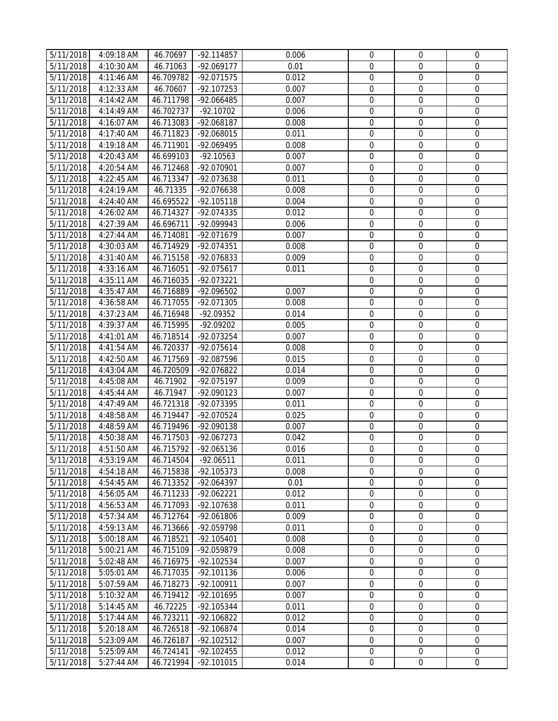| 5/11/2018 | 4:09:18 AM   | 46.70697  | -92.114857   | 0.006 | $\mathbf 0$      | $\mathbf{0}$     | 0                |
|-----------|--------------|-----------|--------------|-------|------------------|------------------|------------------|
| 5/11/2018 | 4:10:30 AM   | 46.71063  | $-92.069177$ | 0.01  | $\mathbf 0$      | $\mathbf{0}$     | $\mathbf{0}$     |
| 5/11/2018 | 4:11:46 AM   | 46.709782 | $-92.071575$ | 0.012 | $\mathbf 0$      | $\mathbf 0$      | $\boldsymbol{0}$ |
| 5/11/2018 | 4:12:33 AM   | 46.70607  | $-92.107253$ | 0.007 | $\mathbf 0$      | $\mathbf 0$      | $\mathbf 0$      |
| 5/11/2018 | 4:14:42 AM   | 46.711798 | -92.066485   | 0.007 | $\mathbf 0$      | $\mathbf 0$      | $\boldsymbol{0}$ |
| 5/11/2018 | 4:14:49 AM   | 46.702737 | $-92.10702$  | 0.006 | $\mathbf 0$      | $\mathbf 0$      | $\boldsymbol{0}$ |
| 5/11/2018 | 4:16:07 AM   | 46.713083 | -92.068187   | 0.008 | $\mathbf 0$      | $\mathbf 0$      | $\boldsymbol{0}$ |
| 5/11/2018 | $4:17:40$ AM | 46.711823 | -92.068015   | 0.011 | $\mathbf 0$      | $\boldsymbol{0}$ | $\mathbf 0$      |
| 5/11/2018 | 4:19:18 AM   | 46.711901 | -92.069495   | 0.008 | $\mathbf 0$      | $\mathbf 0$      | $\mathbf 0$      |
| 5/11/2018 | 4:20:43 AM   | 46.699103 | $-92.10563$  | 0.007 | $\mathbf 0$      | $\mathbf 0$      | $\mathbf 0$      |
| 5/11/2018 | 4:20:54 AM   | 46.712468 | -92.070901   | 0.007 | $\mathbf 0$      | $\mathbf 0$      | $\mathbf 0$      |
| 5/11/2018 | 4:22:45 AM   | 46.713347 | -92.073638   | 0.011 | $\boldsymbol{0}$ | $\boldsymbol{0}$ | $\mathbf 0$      |
| 5/11/2018 | 4:24:19 AM   | 46.71335  | -92.076638   | 0.008 | $\mathbf 0$      | $\mathbf 0$      | $\boldsymbol{0}$ |
| 5/11/2018 | 4:24:40 AM   | 46.695522 | $-92.105118$ | 0.004 | $\mathbf 0$      | $\mathbf 0$      | $\boldsymbol{0}$ |
| 5/11/2018 | 4:26:02 AM   | 46.714327 | -92.074335   | 0.012 | $\mathbf 0$      | $\boldsymbol{0}$ | 0                |
| 5/11/2018 | 4:27:39 AM   | 46.696711 | -92.099943   | 0.006 | $\boldsymbol{0}$ | $\boldsymbol{0}$ | 0                |
| 5/11/2018 | 4:27:44 AM   | 46.714081 | -92.071679   | 0.007 | $\boldsymbol{0}$ | $\boldsymbol{0}$ | $\boldsymbol{0}$ |
| 5/11/2018 | 4:30:03 AM   | 46.714929 | -92.074351   | 0.008 | $\mathbf 0$      | $\mathbf 0$      | $\mathbf 0$      |
| 5/11/2018 | 4:31:40 AM   | 46.715158 | $-92.076833$ | 0.009 | $\boldsymbol{0}$ | $\boldsymbol{0}$ | $\boldsymbol{0}$ |
| 5/11/2018 | 4:33:16 AM   | 46.716051 | -92.075617   | 0.011 | $\boldsymbol{0}$ | $\boldsymbol{0}$ | $\mathbf 0$      |
| 5/11/2018 | 4:35:11 AM   | 46.716035 | -92.073221   |       | $\mathbf 0$      | $\boldsymbol{0}$ | $\boldsymbol{0}$ |
| 5/11/2018 | 4:35:47 AM   | 46.716889 | -92.096502   | 0.007 | $\mathbf 0$      | $\boldsymbol{0}$ | $\boldsymbol{0}$ |
| 5/11/2018 | 4:36:58 AM   | 46.717055 | -92.071305   | 0.008 | $\mathbf 0$      | $\mathbf 0$      | $\boldsymbol{0}$ |
| 5/11/2018 | 4:37:23 AM   | 46.716948 | -92.09352    | 0.014 | $\boldsymbol{0}$ | $\boldsymbol{0}$ | 0                |
| 5/11/2018 | 4:39:37 AM   | 46.715995 | -92.09202    | 0.005 | $\mathbf 0$      | $\boldsymbol{0}$ | $\mathbf 0$      |
| 5/11/2018 | 4:41:01 AM   | 46.718514 | -92.073254   | 0.007 | $\mathbf 0$      | $\boldsymbol{0}$ | $\boldsymbol{0}$ |
| 5/11/2018 | 4:41:54 AM   | 46.720337 | $-92.075614$ | 0.008 | $\mathbf 0$      | $\boldsymbol{0}$ | $\mathbf 0$      |
| 5/11/2018 | 4:42:50 AM   | 46.717569 | -92.087596   | 0.015 | $\boldsymbol{0}$ | $\boldsymbol{0}$ | $\boldsymbol{0}$ |
| 5/11/2018 | 4:43:04 AM   | 46.720509 | -92.076822   | 0.014 | $\mathbf 0$      | $\mathbf 0$      | $\mathbf 0$      |
| 5/11/2018 | 4:45:08 AM   | 46.71902  | -92.075197   | 0.009 | $\boldsymbol{0}$ | $\boldsymbol{0}$ | $\boldsymbol{0}$ |
| 5/11/2018 | 4:45:44 AM   | 46.71947  | -92.090123   | 0.007 | $\boldsymbol{0}$ | $\boldsymbol{0}$ | $\boldsymbol{0}$ |
| 5/11/2018 | 4:47:49 AM   | 46.721318 | -92.073395   | 0.011 | $\boldsymbol{0}$ | $\boldsymbol{0}$ | $\boldsymbol{0}$ |
| 5/11/2018 | 4:48:58 AM   | 46.719447 | -92.070524   | 0.025 | $\mathbf 0$      | $\mathbf 0$      | $\mathbf 0$      |
| 5/11/2018 | 4:48:59 AM   | 46.719496 | -92.090138   | 0.007 | $\mathbf 0$      | $\boldsymbol{0}$ | $\boldsymbol{0}$ |
| 5/11/2018 | 4:50:38 AM   | 46.717503 | $-92.067273$ | 0.042 | $\mathbf 0$      | $\boldsymbol{0}$ | $\boldsymbol{0}$ |
| 5/11/2018 | 4:51:50 AM   | 46.715792 | -92.065136   | 0.016 | $\mathbf 0$      | $\mathbf 0$      | $\mathbf 0$      |
| 5/11/2018 | 4:53:19 AM   | 46.714504 | $-92.06511$  | 0.011 | 0                | 0                | 0                |
| 5/11/2018 | 4:54:18 AM   | 46.715838 | -92.105373   | 0.008 | $\Omega$         | $\Omega$         | $\mathbf 0$      |
| 5/11/2018 | 4:54:45 AM   | 46.713352 | -92.064397   | 0.01  | $\mathbf 0$      | $\mathbf 0$      | $\mathbf 0$      |
| 5/11/2018 | 4:56:05 AM   | 46.711233 | $-92.062221$ | 0.012 | $\mathbf 0$      | $\mathbf 0$      | 0                |
| 5/11/2018 | 4:56:53 AM   | 46.717093 | -92.107638   | 0.011 | $\mathbf 0$      | $\mathbf 0$      | $\mathbf 0$      |
| 5/11/2018 | 4:57:34 AM   | 46.712764 | -92.061806   | 0.009 | $\mathbf 0$      | $\mathbf 0$      | $\mathbf 0$      |
| 5/11/2018 | 4:59:13 AM   | 46.713666 | -92.059798   | 0.011 | $\mathbf 0$      | $\Omega$         | $\overline{0}$   |
| 5/11/2018 | 5:00:18 AM   | 46.718521 | $-92.105401$ | 0.008 | $\mathbf 0$      | $\mathbf 0$      | $\mathbf 0$      |
| 5/11/2018 | 5:00:21 AM   | 46.715109 | -92.059879   | 0.008 | $\boldsymbol{0}$ | $\boldsymbol{0}$ | $\mathbf 0$      |
| 5/11/2018 | 5:02:48 AM   | 46.716975 | $-92.102534$ | 0.007 | $\mathbf 0$      | $\mathbf 0$      | $\mathbf 0$      |
| 5/11/2018 | 5:05:01 AM   | 46.717035 | $-92.101136$ | 0.006 | $\mathbf 0$      | $\mathbf 0$      | $\boldsymbol{0}$ |
| 5/11/2018 | 5:07:59 AM   | 46.718273 | $-92.100911$ | 0.007 | $\boldsymbol{0}$ | $\boldsymbol{0}$ | 0                |
| 5/11/2018 | 5:10:32 AM   | 46.719412 | $-92.101695$ | 0.007 | $\boldsymbol{0}$ | $\boldsymbol{0}$ | $\boldsymbol{0}$ |
| 5/11/2018 | 5:14:45 AM   | 46.72225  | -92.105344   | 0.011 | $\overline{0}$   | $\boldsymbol{0}$ | 0                |
| 5/11/2018 | 5:17:44 AM   | 46.723211 | -92.106822   | 0.012 | $\mathbf 0$      | $\overline{0}$   | $\mathbf 0$      |
| 5/11/2018 | 5:20:18 AM   | 46.726518 | -92.106874   | 0.014 | $\mathbf 0$      | $\mathbf{0}$     | $\boldsymbol{0}$ |
| 5/11/2018 | 5:23:09 AM   | 46.726187 | $-92.102512$ | 0.007 | $\boldsymbol{0}$ | $\mathbf 0$      | $\mathbf 0$      |
| 5/11/2018 | 5:25:09 AM   | 46.724141 | $-92.102455$ | 0.012 | $\boldsymbol{0}$ | $\boldsymbol{0}$ | 0                |
| 5/11/2018 | 5:27:44 AM   | 46.721994 | $-92.101015$ | 0.014 | $\mathbf 0$      | $\mathbf 0$      | $\boldsymbol{0}$ |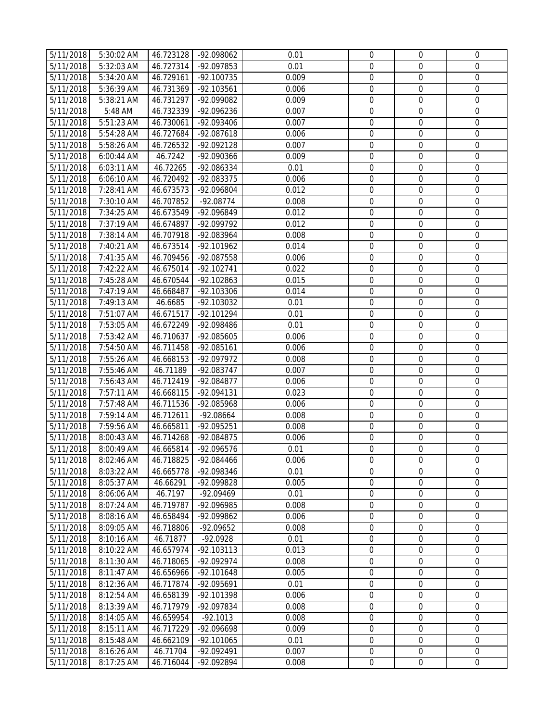| 5/11/2018              | 5:30:02 AM | 46.723128 | -92.098062   | 0.01  | $\mathbf 0$      | $\mathbf 0$      | 0                |
|------------------------|------------|-----------|--------------|-------|------------------|------------------|------------------|
| 5/11/2018              | 5:32:03 AM | 46.727314 | -92.097853   | 0.01  | $\mathbf 0$      | $\mathbf{0}$     | $\mathbf{0}$     |
| $\overline{5}/11/2018$ | 5:34:20 AM | 46.729161 | $-92.100735$ | 0.009 | $\mathbf 0$      | $\boldsymbol{0}$ | $\boldsymbol{0}$ |
| 5/11/2018              | 5:36:39 AM | 46.731369 | $-92.103561$ | 0.006 | $\mathbf 0$      | $\boldsymbol{0}$ | $\mathbf 0$      |
| 5/11/2018              | 5:38:21 AM | 46.731297 | -92.099082   | 0.009 | $\mathbf 0$      | $\boldsymbol{0}$ | $\boldsymbol{0}$ |
| 5/11/2018              | 5:48 AM    | 46.732339 | -92.096236   | 0.007 | $\mathbf 0$      | $\boldsymbol{0}$ | $\boldsymbol{0}$ |
| 5/11/2018              | 5:51:23 AM | 46.730061 | -92.093406   | 0.007 | $\mathbf 0$      | $\boldsymbol{0}$ | $\boldsymbol{0}$ |
| 5/11/2018              | 5:54:28 AM | 46.727684 | -92.087618   | 0.006 | $\mathbf 0$      | $\boldsymbol{0}$ | $\mathbf 0$      |
| 5/11/2018              | 5:58:26 AM | 46.726532 | -92.092128   | 0.007 | $\mathbf 0$      | $\mathbf 0$      | $\boldsymbol{0}$ |
| 5/11/2018              | 6:00:44 AM | 46.7242   | -92.090366   | 0.009 | $\mathbf 0$      | $\mathbf 0$      | $\mathbf 0$      |
| 5/11/2018              | 6:03:11 AM | 46.72265  | -92.086334   | 0.01  | $\mathbf 0$      | $\mathbf 0$      | 0                |
| 5/11/2018              | 6:06:10 AM | 46.720492 | -92.083375   | 0.006 | $\mathbf 0$      | $\boldsymbol{0}$ | $\mathbf 0$      |
| 5/11/2018              | 7:28:41 AM | 46.673573 | -92.096804   | 0.012 | $\mathbf 0$      | $\mathbf 0$      | $\boldsymbol{0}$ |
| 5/11/2018              | 7:30:10 AM | 46.707852 | $-92.08774$  | 0.008 | $\mathbf 0$      | $\boldsymbol{0}$ | 0                |
| 5/11/2018              | 7:34:25 AM | 46.673549 | -92.096849   | 0.012 | $\boldsymbol{0}$ | $\boldsymbol{0}$ | $\boldsymbol{0}$ |
| 5/11/2018              | 7:37:19 AM | 46.674897 | -92.099792   | 0.012 | $\boldsymbol{0}$ | $\boldsymbol{0}$ | $\boldsymbol{0}$ |
| 5/11/2018              | 7:38:14 AM | 46.707918 | -92.083964   | 0.008 | $\boldsymbol{0}$ | $\boldsymbol{0}$ | 0                |
| 5/11/2018              | 7:40:21 AM | 46.673514 | $-92.101962$ | 0.014 | $\mathbf 0$      | $\mathbf 0$      | $\boldsymbol{0}$ |
| 5/11/2018              | 7:41:35 AM | 46.709456 | -92.087558   | 0.006 | $\mathbf 0$      | $\boldsymbol{0}$ | $\mathbf 0$      |
| 5/11/2018              | 7:42:22 AM | 46.675014 | $-92.102741$ | 0.022 | $\boldsymbol{0}$ | $\boldsymbol{0}$ | $\boldsymbol{0}$ |
| 5/11/2018              | 7:45:28 AM | 46.670544 | -92.102863   | 0.015 | $\mathbf 0$      | $\boldsymbol{0}$ | $\boldsymbol{0}$ |
| 5/11/2018              | 7:47:19 AM | 46.668487 | -92.103306   | 0.014 | $\boldsymbol{0}$ | $\boldsymbol{0}$ | $\boldsymbol{0}$ |
| 5/11/2018              | 7:49:13 AM | 46.6685   | -92.103032   | 0.01  | $\mathbf 0$      | $\boldsymbol{0}$ | 0                |
| 5/11/2018              | 7:51:07 AM | 46.671517 | -92.101294   | 0.01  | $\boldsymbol{0}$ | $\boldsymbol{0}$ | 0                |
| 5/11/2018              | 7:53:05 AM | 46.672249 | -92.098486   | 0.01  | $\mathbf 0$      | $\mathbf 0$      | $\mathbf 0$      |
| 5/11/2018              | 7:53:42 AM | 46.710637 | -92.085605   | 0.006 | $\mathbf 0$      | 0                | $\mathbf 0$      |
| 5/11/2018              | 7:54:50 AM | 46.711458 | $-92.085161$ | 0.006 | $\mathbf 0$      | $\mathbf 0$      | 0                |
| 5/11/2018              | 7:55:26 AM | 46.668153 | -92.097972   | 0.008 | $\mathbf 0$      | $\boldsymbol{0}$ | 0                |
| 5/11/2018              | 7:55:46 AM | 46.71189  | -92.083747   | 0.007 | $\mathbf 0$      | $\mathbf 0$      | $\mathbf 0$      |
| 5/11/2018              | 7:56:43 AM | 46.712419 | -92.084877   | 0.006 | $\boldsymbol{0}$ | $\boldsymbol{0}$ | $\boldsymbol{0}$ |
| 5/11/2018              | 7:57:11 AM | 46.668115 | -92.094131   | 0.023 | $\boldsymbol{0}$ | $\boldsymbol{0}$ | $\boldsymbol{0}$ |
| 5/11/2018              | 7:57:48 AM | 46.711536 | -92.085968   | 0.006 | $\boldsymbol{0}$ | $\boldsymbol{0}$ | $\boldsymbol{0}$ |
| 5/11/2018              | 7:59:14 AM | 46.712611 | -92.08664    | 0.008 | $\mathbf 0$      | $\boldsymbol{0}$ | 0                |
| 5/11/2018              | 7:59:56 AM | 46.665811 | -92.095251   | 0.008 | $\boldsymbol{0}$ | $\boldsymbol{0}$ | 0                |
| 5/11/2018              | 8:00:43 AM | 46.714268 | -92.084875   | 0.006 | $\mathbf 0$      | $\boldsymbol{0}$ | $\boldsymbol{0}$ |
| 5/11/2018              | 8:00:49 AM | 46.665814 | -92.096576   | 0.01  | $\mathbf 0$      | $\mathbf 0$      | $\mathbf 0$      |
| 5/11/2018              | 8:02:46 AM | 46.718825 | -92.084466   | 0.006 | 0                | 0                | 0                |
| 5/11/2018              | 8:03:22 AM | 46.665778 | -92.098346   | 0.01  | $\Omega$         | $\Omega$         | 0                |
| 5/11/2018              | 8:05:37 AM | 46.66291  | -92.099828   | 0.005 | $\mathbf 0$      | $\mathbf 0$      | 0                |
| 5/11/2018              | 8:06:06 AM | 46.7197   | -92.09469    | 0.01  | $\mathbf 0$      | $\boldsymbol{0}$ | 0                |
| 5/11/2018              | 8:07:24 AM | 46.719787 | -92.096985   | 0.008 | $\mathbf 0$      | 0                | $\mathbf 0$      |
| 5/11/2018              | 8:08:16 AM | 46.658494 | -92.099862   | 0.006 | $\mathbf 0$      | $\mathbf 0$      | $\boldsymbol{0}$ |
| 5/11/2018              | 8:09:05 AM | 46.718806 | $-92.09652$  | 0.008 | $\Omega$         | $\Omega$         | $\mathbf 0$      |
| 5/11/2018              | 8:10:16 AM | 46.71877  | $-92.0928$   | 0.01  | $\mathbf 0$      | $\mathbf 0$      | 0                |
| 5/11/2018              | 8:10:22 AM | 46.657974 | $-92.103113$ | 0.013 | $\boldsymbol{0}$ | $\mathbf 0$      | $\mathbf 0$      |
| 5/11/2018              | 8:11:30 AM | 46.718065 | -92.092974   | 0.008 | $\mathbf 0$      | $\mathbf 0$      | $\boldsymbol{0}$ |
| 5/11/2018              | 8:11:47 AM | 46.656966 | $-92.101648$ | 0.005 | $\mathbf 0$      | $\mathbf 0$      | $\boldsymbol{0}$ |
| 5/11/2018              | 8:12:36 AM | 46.717874 | -92.095691   | 0.01  | $\boldsymbol{0}$ | $\boldsymbol{0}$ | $\boldsymbol{0}$ |
| 5/11/2018              | 8:12:54 AM | 46.658139 | $-92.101398$ | 0.006 | $\boldsymbol{0}$ | $\boldsymbol{0}$ | $\boldsymbol{0}$ |
| 5/11/2018              | 8:13:39 AM | 46.717979 | -92.097834   | 0.008 | $\boldsymbol{0}$ | $\boldsymbol{0}$ | $\boldsymbol{0}$ |
| 5/11/2018              | 8:14:05 AM | 46.659954 | $-92.1013$   | 0.008 | $\mathbf 0$      | $\mathbf 0$      | $\boldsymbol{0}$ |
| 5/11/2018              | 8:15:11 AM | 46.717229 | -92.096698   | 0.009 | $\boldsymbol{0}$ | $\boldsymbol{0}$ | $\boldsymbol{0}$ |
| 5/11/2018              | 8:15:48 AM | 46.662109 | $-92.101065$ | 0.01  | $\mathbf 0$      | $\mathbf 0$      | $\boldsymbol{0}$ |
| 5/11/2018              | 8:16:26 AM | 46.71704  | -92.092491   | 0.007 | $\boldsymbol{0}$ | $\boldsymbol{0}$ | 0                |
| 5/11/2018              | 8:17:25 AM | 46.716044 | -92.092894   | 0.008 | $\mathbf 0$      | $\boldsymbol{0}$ | $\boldsymbol{0}$ |
|                        |            |           |              |       |                  |                  |                  |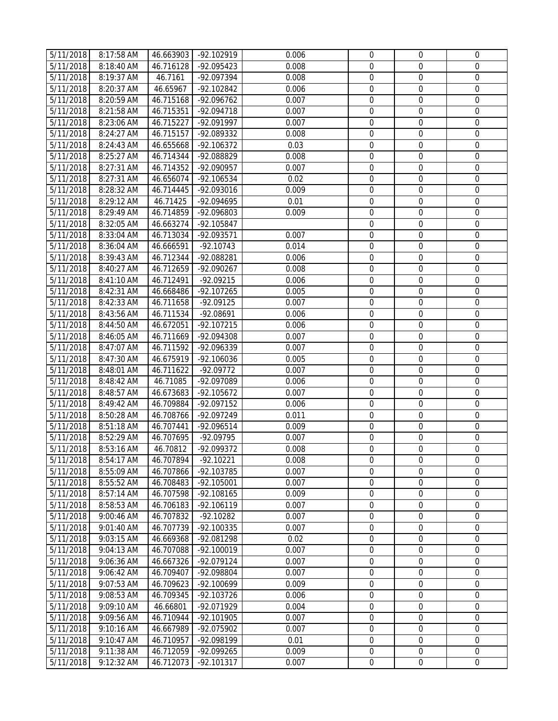| 5/11/2018 | 8:17:58 AM   | 46.663903 | -92.102919   | 0.006 | $\mathbf 0$      | $\mathbf{0}$     | 0                |
|-----------|--------------|-----------|--------------|-------|------------------|------------------|------------------|
| 5/11/2018 | 8:18:40 AM   | 46.716128 | -92.095423   | 0.008 | $\mathbf 0$      | $\mathbf{0}$     | $\mathbf{0}$     |
| 5/11/2018 | 8:19:37 AM   | 46.7161   | -92.097394   | 0.008 | $\mathbf 0$      | $\mathbf{0}$     | $\boldsymbol{0}$ |
| 5/11/2018 | 8:20:37 AM   | 46.65967  | -92.102842   | 0.006 | $\mathbf 0$      | $\mathbf 0$      | $\mathbf 0$      |
| 5/11/2018 | 8:20:59 AM   | 46.715168 | -92.096762   | 0.007 | $\mathbf 0$      | $\mathbf 0$      | $\boldsymbol{0}$ |
| 5/11/2018 | $8:21:58$ AM | 46.715351 | -92.094718   | 0.007 | $\mathbf 0$      | $\mathbf 0$      | $\boldsymbol{0}$ |
| 5/11/2018 | 8:23:06 AM   | 46.715227 | -92.091997   | 0.007 | $\mathbf 0$      | $\mathbf 0$      | $\boldsymbol{0}$ |
| 5/11/2018 | 8:24:27 AM   | 46.715157 | -92.089332   | 0.008 | $\mathbf 0$      | $\boldsymbol{0}$ | $\mathbf 0$      |
| 5/11/2018 | 8:24:43 AM   | 46.655668 | -92.106372   | 0.03  | $\mathbf 0$      | $\mathbf 0$      | $\mathbf 0$      |
| 5/11/2018 | 8:25:27 AM   | 46.714344 | -92.088829   | 0.008 | $\mathbf 0$      | $\mathbf 0$      | $\mathbf 0$      |
| 5/11/2018 | 8:27:31 AM   | 46.714352 | -92.090957   | 0.007 | $\mathbf 0$      | $\mathbf 0$      | $\mathbf 0$      |
| 5/11/2018 | 8:27:31 AM   | 46.656074 | -92.106534   | 0.02  | $\boldsymbol{0}$ | $\boldsymbol{0}$ | $\mathbf 0$      |
| 5/11/2018 | 8:28:32 AM   | 46.714445 | -92.093016   | 0.009 | $\mathbf 0$      | $\mathbf 0$      | $\mathbf 0$      |
| 5/11/2018 | 8:29:12 AM   | 46.71425  | -92.094695   | 0.01  | $\mathbf 0$      | $\mathbf 0$      | $\boldsymbol{0}$ |
| 5/11/2018 | 8:29:49 AM   | 46.714859 | -92.096803   | 0.009 | $\overline{0}$   | $\boldsymbol{0}$ | $\boldsymbol{0}$ |
| 5/11/2018 | 8:32:05 AM   | 46.663274 | -92.105847   |       | $\boldsymbol{0}$ | $\boldsymbol{0}$ | 0                |
| 5/11/2018 | 8:33:04 AM   | 46.713034 | -92.093571   | 0.007 | $\boldsymbol{0}$ | $\boldsymbol{0}$ | $\boldsymbol{0}$ |
| 5/11/2018 | 8:36:04 AM   | 46.666591 | $-92.10743$  | 0.014 | $\mathbf 0$      | $\mathbf 0$      | $\mathbf 0$      |
| 5/11/2018 | 8:39:43 AM   | 46.712344 | -92.088281   | 0.006 | $\boldsymbol{0}$ | $\boldsymbol{0}$ | $\boldsymbol{0}$ |
| 5/11/2018 | 8:40:27 AM   | 46.712659 | -92.090267   | 0.008 | $\boldsymbol{0}$ | $\boldsymbol{0}$ | $\mathbf 0$      |
| 5/11/2018 | 8:41:10 AM   | 46.712491 | $-92.09215$  | 0.006 | $\mathbf 0$      | $\boldsymbol{0}$ | $\boldsymbol{0}$ |
| 5/11/2018 | 8:42:31 AM   | 46.668486 | $-92.107265$ | 0.005 | $\mathbf 0$      | $\boldsymbol{0}$ | $\boldsymbol{0}$ |
| 5/11/2018 | 8:42:33 AM   | 46.711658 | $-92.09125$  | 0.007 | $\mathbf 0$      | $\mathbf 0$      | $\boldsymbol{0}$ |
| 5/11/2018 | 8:43:56 AM   | 46.711534 | $-92.08691$  | 0.006 | $\boldsymbol{0}$ | $\boldsymbol{0}$ | 0                |
| 5/11/2018 | 8:44:50 AM   | 46.672051 | -92.107215   | 0.006 | $\mathbf 0$      | $\boldsymbol{0}$ | 0                |
| 5/11/2018 | 8:46:05 AM   | 46.711669 | -92.094308   | 0.007 | $\mathbf 0$      | $\boldsymbol{0}$ | $\mathbf 0$      |
| 5/11/2018 | 8:47:07 AM   | 46.711592 | -92.096339   | 0.007 | $\mathbf 0$      | $\boldsymbol{0}$ | $\mathbf 0$      |
| 5/11/2018 | 8:47:30 AM   | 46.675919 | -92.106036   | 0.005 | $\boldsymbol{0}$ | $\boldsymbol{0}$ | $\boldsymbol{0}$ |
| 5/11/2018 | 8:48:01 AM   | 46.711622 | $-92.09772$  | 0.007 | $\mathbf 0$      | $\mathbf 0$      | $\mathbf 0$      |
| 5/11/2018 | 8:48:42 AM   | 46.71085  | -92.097089   | 0.006 | $\boldsymbol{0}$ | $\boldsymbol{0}$ | $\boldsymbol{0}$ |
| 5/11/2018 | 8:48:57 AM   | 46.673683 | $-92.105672$ | 0.007 | $\boldsymbol{0}$ | $\boldsymbol{0}$ | $\boldsymbol{0}$ |
| 5/11/2018 | 8:49:42 AM   | 46.709884 | -92.097152   | 0.006 | $\boldsymbol{0}$ | $\boldsymbol{0}$ | $\boldsymbol{0}$ |
| 5/11/2018 | 8:50:28 AM   | 46.708766 | -92.097249   | 0.011 | $\mathbf 0$      | $\mathbf 0$      | $\mathbf 0$      |
| 5/11/2018 | 8:51:18 AM   | 46.707441 | -92.096514   | 0.009 | $\overline{0}$   | $\boldsymbol{0}$ | $\boldsymbol{0}$ |
| 5/11/2018 | 8:52:29 AM   | 46.707695 | -92.09795    | 0.007 | $\overline{0}$   | $\boldsymbol{0}$ | $\boldsymbol{0}$ |
| 5/11/2018 | 8:53:16 AM   | 46.70812  | -92.099372   | 0.008 | $\mathbf 0$      | $\mathbf 0$      | $\mathbf 0$      |
| 5/11/2018 | 8:54:17 AM   | 46.707894 | $-92.10221$  | 0.008 | 0                | 0                | 0                |
| 5/11/2018 | 8:55:09 AM   | 46.707866 | -92.103785   | 0.007 | $\Omega$         | $\Omega$         | $\mathbf 0$      |
| 5/11/2018 | 8:55:52 AM   | 46.708483 | $-92.105001$ | 0.007 | $\mathbf 0$      | $\mathbf 0$      | $\mathbf 0$      |
| 5/11/2018 | 8:57:14 AM   | 46.707598 | $-92.108165$ | 0.009 | $\mathbf 0$      | $\mathbf 0$      | 0                |
| 5/11/2018 | 8:58:53 AM   | 46.706183 | $-92.106119$ | 0.007 | $\mathbf 0$      | $\mathbf 0$      | $\mathbf 0$      |
| 5/11/2018 | 9:00:46 AM   | 46.707832 | $-92.10282$  | 0.007 | $\mathbf 0$      | $\mathbf 0$      | $\mathbf 0$      |
| 5/11/2018 | 9:01:40 AM   | 46.707739 | -92.100335   | 0.007 | $\mathbf 0$      | $\Omega$         | $\mathbf 0$      |
| 5/11/2018 | 9:03:15 AM   | 46.669368 | -92.081298   | 0.02  | $\mathbf 0$      | $\mathbf 0$      | $\mathbf 0$      |
| 5/11/2018 | 9:04:13 AM   | 46.707088 | $-92.100019$ | 0.007 | $\boldsymbol{0}$ | $\boldsymbol{0}$ | $\mathbf 0$      |
| 5/11/2018 | 9:06:36 AM   | 46.667326 | -92.079124   | 0.007 | $\mathbf 0$      | $\mathbf 0$      | $\mathbf 0$      |
| 5/11/2018 | 9:06:42 AM   | 46.709407 | -92.098804   | 0.007 | $\mathbf 0$      | $\mathbf 0$      | $\boldsymbol{0}$ |
| 5/11/2018 | 9:07:53 AM   | 46.709623 | -92.100699   | 0.009 | $\boldsymbol{0}$ | $\boldsymbol{0}$ | 0                |
| 5/11/2018 | 9:08:53 AM   | 46.709345 | -92.103726   | 0.006 | $\boldsymbol{0}$ | $\boldsymbol{0}$ | $\boldsymbol{0}$ |
| 5/11/2018 | 9:09:10 AM   | 46.66801  | -92.071929   | 0.004 | $\overline{0}$   | $\boldsymbol{0}$ | 0                |
| 5/11/2018 | 9:09:56 AM   | 46.710944 | $-92.101905$ | 0.007 | $\mathbf 0$      | $\overline{0}$   | 0                |
| 5/11/2018 | 9:10:16 AM   | 46.667989 | -92.075902   | 0.007 | $\mathbf 0$      | $\mathbf{0}$     | $\boldsymbol{0}$ |
| 5/11/2018 | 9:10:47 AM   | 46.710957 | -92.098199   | 0.01  | $\boldsymbol{0}$ | $\boldsymbol{0}$ | $\boldsymbol{0}$ |
| 5/11/2018 | 9:11:38 AM   | 46.712059 | -92.099265   | 0.009 | $\boldsymbol{0}$ | $\boldsymbol{0}$ | 0                |
| 5/11/2018 | 9:12:32 AM   | 46.712073 | $-92.101317$ | 0.007 | $\mathbf 0$      | $\mathbf 0$      | $\boldsymbol{0}$ |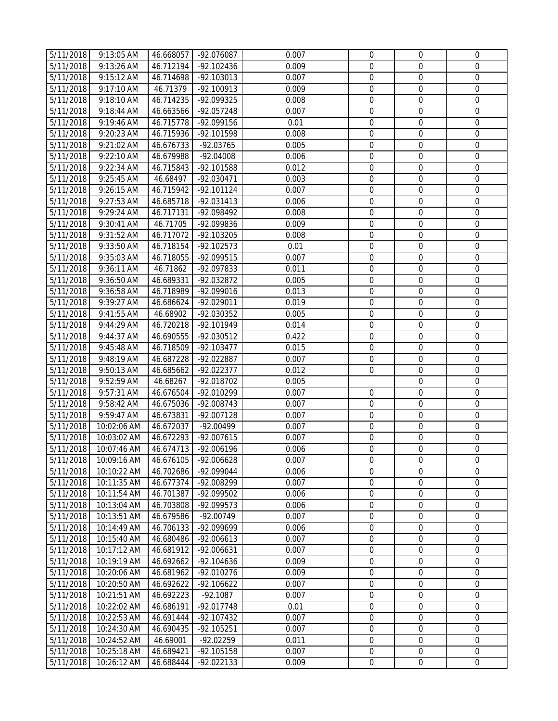| 5/11/2018              | 9:13:05 AM                 | 46.668057              | -92.076087                 | 0.007          | $\mathbf 0$                   | 0                               | 0                                    |
|------------------------|----------------------------|------------------------|----------------------------|----------------|-------------------------------|---------------------------------|--------------------------------------|
| 5/11/2018              | $9:13:26$ AM               | 46.712194              | $-92.102436$               | 0.009          | $\mathbf 0$                   | $\mathbf{0}$                    | $\boldsymbol{0}$                     |
| 5/11/2018              | 9:15:12 AM                 | 46.714698              | $-92.103013$               | 0.007          | $\mathbf 0$                   | $\mathbf 0$                     | $\mathbf 0$                          |
| 5/11/2018              | 9:17:10 AM                 | 46.71379               | $-92.100913$               | 0.009          | $\mathbf 0$                   | $\mathbf 0$                     | $\boldsymbol{0}$                     |
| 5/11/2018              | 9:18:10 AM                 | 46.714235              | -92.099325                 | 0.008          | $\mathbf 0$                   | $\mathbf 0$                     | $\boldsymbol{0}$                     |
| 5/11/2018              | 9:18:44 AM                 | 46.663566              | -92.057248                 | 0.007          | $\mathbf 0$                   | $\mathbf 0$                     | $\boldsymbol{0}$                     |
| 5/11/2018              | $9:19:46$ AM               | 46.715778              | -92.099156                 | 0.01           | $\mathbf 0$                   | $\boldsymbol{0}$                | $\mathbf 0$                          |
| 5/11/2018              | 9:20:23 AM                 | 46.715936              | -92.101598                 | 0.008          | $\mathbf 0$                   | $\mathbf 0$                     | $\mathbf 0$                          |
| 5/11/2018              | 9:21:02 AM                 | 46.676733              | $-92.03765$                | 0.005          | $\mathbf 0$                   | $\mathbf 0$                     | $\mathbf 0$                          |
| 5/11/2018              | 9:22:10 AM                 | 46.679988              | $-92.04008$                | 0.006          | $\mathbf 0$                   | $\mathbf 0$                     | $\boldsymbol{0}$                     |
| 5/11/2018              | 9:22:34 AM                 | 46.715843              | -92.101588                 | 0.012          | $\mathbf 0$                   | $\boldsymbol{0}$                | $\mathbf 0$                          |
| 5/11/2018              | 9:25:45 AM                 | 46.68497               | -92.030471                 | 0.003          | $\mathbf 0$                   | $\mathbf 0$                     | $\boldsymbol{0}$                     |
| 5/11/2018              | 9:26:15 AM                 | 46.715942              | $-92.101124$               | 0.007          | $\mathbf 0$                   | $\mathbf 0$                     | $\boldsymbol{0}$                     |
| 5/11/2018              | 9:27:53 AM                 | 46.685718              | -92.031413                 | 0.006          | $\boldsymbol{0}$              | $\boldsymbol{0}$                | $\boldsymbol{0}$                     |
| 5/11/2018              | 9:29:24 AM                 | 46.717131              | -92.098492                 | 0.008          | $\boldsymbol{0}$              | $\boldsymbol{0}$                | 0                                    |
| 5/11/2018              | 9:30:41 AM                 | 46.71705               | -92.099836                 | 0.009          | $\overline{0}$                | $\boldsymbol{0}$                | 0                                    |
| 5/11/2018              | 9:31:52 AM                 | 46.717072              | -92.103205                 | 0.008          | $\mathbf 0$                   | $\mathbf 0$                     | 0                                    |
| 5/11/2018              | 9:33:50 AM                 | 46.718154              | $-92.102573$               | 0.01           | $\overline{0}$                | $\mathbf{0}$                    | $\boldsymbol{0}$                     |
| 5/11/2018              | 9:35:03 AM                 | 46.718055              | -92.099515                 | 0.007          | $\boldsymbol{0}$              | $\boldsymbol{0}$                | $\mathbf 0$                          |
| 5/11/2018              | $9:36:11$ AM               | 46.71862               | -92.097833                 | 0.011          | $\boldsymbol{0}$              | $\boldsymbol{0}$                | $\boldsymbol{0}$                     |
| 5/11/2018              | 9:36:50 AM                 | 46.689331              | -92.032872                 | 0.005          | $\mathbf 0$                   | $\boldsymbol{0}$                | $\boldsymbol{0}$                     |
| 5/11/2018              | 9:36:58 AM                 | 46.718989              | -92.099016                 | 0.013          | $\mathbf 0$                   | $\mathbf 0$                     | 0                                    |
| 5/11/2018              | 9:39:27 AM                 | 46.686624              | $-92.029011$               | 0.019          | $\boldsymbol{0}$              | $\boldsymbol{0}$                | 0                                    |
| 5/11/2018              | 9:41:55 AM                 | 46.68902               | -92.030352                 | 0.005          | $\mathbf 0$                   | $\boldsymbol{0}$                | $\mathbf 0$                          |
| 5/11/2018              | 9:44:29 AM                 | 46.720218              | -92.101949                 | 0.014          | $\mathbf 0$                   | $\boldsymbol{0}$                | 0                                    |
| 5/11/2018              | 9:44:37 AM                 | 46.690555              | -92.030512                 | 0.422          | $\mathbf 0$                   | $\mathbf 0$                     | 0                                    |
| 5/11/2018              | 9:45:48 AM                 | 46.718509              | -92.103477                 | 0.015          | $\mathbf 0$                   | $\boldsymbol{0}$                | $\boldsymbol{0}$                     |
| 5/11/2018              | 9:48:19 AM                 | 46.687228              | -92.022887                 | 0.007          | $\boldsymbol{0}$              | $\boldsymbol{0}$                | $\mathbf 0$                          |
| 5/11/2018              | 9:50:13 AM                 | 46.685662              | -92.022377                 | 0.012          | $\mathbf 0$                   | $\boldsymbol{0}$                | $\boldsymbol{0}$                     |
| 5/11/2018              | 9:52:59 AM                 | 46.68267               | -92.018702                 | 0.005          |                               | $\boldsymbol{0}$                | 0                                    |
| 5/11/2018              | 9:57:31 AM                 | 46.676504              | -92.010299                 | 0.007          | $\overline{0}$                | $\boldsymbol{0}$                | 0                                    |
| 5/11/2018              | 9:58:42 AM                 | 46.675036              | -92.008743                 | 0.007          | $\mathbf 0$                   | $\mathbf 0$                     | $\boldsymbol{0}$                     |
| 5/11/2018              | 9:59:47 AM                 | 46.673831              | -92.007128                 | 0.007          | $\overline{0}$                | $\boldsymbol{0}$                | $\boldsymbol{0}$                     |
| 5/11/2018              | 10:02:06 AM                | 46.672037              | -92.00499                  | 0.007          | $\overline{0}$                | $\boldsymbol{0}$                | $\boldsymbol{0}$<br>$\boldsymbol{0}$ |
| 5/11/2018<br>5/11/2018 | 10:03:02 AM<br>10:07:46 AM | 46.672293<br>46.674713 | $-92.007615$<br>-92.006196 | 0.007<br>0.006 | $\overline{0}$<br>$\mathbf 0$ | $\boldsymbol{0}$<br>$\mathbf 0$ | $\mathbf 0$                          |
| 5/11/2018              | 10:09:16 AM                | 46.676105              | -92.006628                 | 0.007          | $\mathbf 0$                   | $\mathbf 0$                     | 0                                    |
| 5/11/2018              | 10:10:22 AM                | 46.702686              | -92.099044                 | 0.006          | $\Omega$                      | $\mathbf 0$                     | $\Omega$                             |
| 5/11/2018              | 10:11:35 AM                | 46.677374              | -92.008299                 | 0.007          | $\mathbf 0$                   | $\mathbf 0$                     | $\boldsymbol{0}$                     |
| 5/11/2018              | 10:11:54 AM                | 46.701387              | -92.099502                 | 0.006          | $\mathbf 0$                   | $\mathbf 0$                     | 0                                    |
| 5/11/2018              | 10:13:04 AM                | 46.703808              | -92.099573                 | 0.006          | $\mathbf 0$                   | $\mathbf 0$                     | $\mathbf 0$                          |
| 5/11/2018              | 10:13:51 AM                | 46.679586              | $-92.00749$                | 0.007          | $\Omega$                      | $\Omega$                        | $\mathbf 0$                          |
| 5/11/2018              | 10:14:49 AM                | 46.706133              | -92.099699                 | 0.006          | $\mathbf 0$                   | $\mathbf 0$                     | $\mathbf 0$                          |
| 5/11/2018              | 10:15:40 AM                | 46.680486              | $-92.006613$               | 0.007          | $\mathbf 0$                   | $\boldsymbol{0}$                | $\mathbf 0$                          |
| 5/11/2018              | 10:17:12 AM                | 46.681912              | -92.006631                 | 0.007          | $\mathbf 0$                   | $\mathbf 0$                     | $\mathbf 0$                          |
| 5/11/2018              | 10:19:19 AM                | 46.692662              | $-92.104636$               | 0.009          | $\mathbf 0$                   | $\mathbf 0$                     | $\boldsymbol{0}$                     |
| 5/11/2018              | 10:20:06 AM                | 46.681962              | -92.010276                 | 0.009          | $\boldsymbol{0}$              | $\boldsymbol{0}$                | $\boldsymbol{0}$                     |
| 5/11/2018              | 10:20:50 AM                | 46.692622              | $-92.106622$               | 0.007          | $\boldsymbol{0}$              | $\boldsymbol{0}$                | $\mathbf 0$                          |
| 5/11/2018              | 10:21:51 AM                | 46.692223              | $-92.1087$                 | 0.007          | $\mathbf 0$                   | $\boldsymbol{0}$                | $\boldsymbol{0}$                     |
| 5/11/2018              | 10:22:02 AM                | 46.686191              | -92.017748                 | 0.01           | $\mathbf 0$                   | $\mathbf{0}$                    | $\mathbf{0}$                         |
| 5/11/2018              | 10:22:53 AM                | 46.691444              | $-92.107432$               | 0.007          | $\mathbf 0$                   | $\mathbf{0}$                    | $\boldsymbol{0}$                     |
| 5/11/2018              | 10:24:30 AM                | 46.690435              | $-92.105251$               | 0.007          | $\mathbf 0$                   | $\mathbf 0$                     | $\mathbf 0$                          |
| 5/11/2018              | 10:24:52 AM                | 46.69001               | -92.02259                  | 0.011          | $\mathbf 0$                   | $\mathbf 0$                     | $\boldsymbol{0}$                     |
| 5/11/2018              | 10:25:18 AM                | 46.689421              | $-92.105158$               | 0.007          | $\mathbf 0$                   | $\mathbf 0$                     | $\boldsymbol{0}$                     |
| 5/11/2018              | 10:26:12 AM                | 46.688444              | -92.022133                 | 0.009          | $\mathbf 0$                   | $\boldsymbol{0}$                | 0                                    |
|                        |                            |                        |                            |                |                               |                                 |                                      |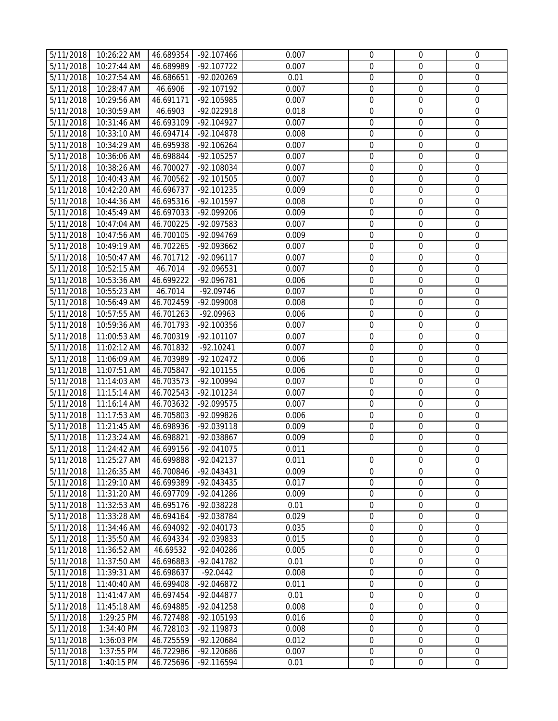| 5/11/2018              | 10:26:22 AM | 46.689354 | $-92.107466$ | 0.007 | $\mathbf{0}$     | $\mathbf 0$      | $\mathbf 0$      |
|------------------------|-------------|-----------|--------------|-------|------------------|------------------|------------------|
| 5/11/2018              | 10:27:44 AM | 46.689989 | $-92.107722$ | 0.007 | $\mathbf{0}$     | $\boldsymbol{0}$ | 0                |
| 5/11/2018              | 10:27:54 AM | 46.686651 | -92.020269   | 0.01  | $\mathbf 0$      | $\boldsymbol{0}$ | $\mathbf 0$      |
| 5/11/2018              | 10:28:47 AM | 46.6906   | -92.107192   | 0.007 | $\mathbf 0$      | $\boldsymbol{0}$ | $\mathbf 0$      |
| 5/11/2018              | 10:29:56 AM | 46.691171 | -92.105985   | 0.007 | $\mathbf 0$      | $\mathbf 0$      | $\boldsymbol{0}$ |
| 5/11/2018              | 10:30:59 AM | 46.6903   | -92.022918   | 0.018 | $\mathbf 0$      | $\boldsymbol{0}$ | $\boldsymbol{0}$ |
| 5/11/2018              | 10:31:46 AM | 46.693109 | $-92.104927$ | 0.007 | $\mathbf 0$      | $\mathbf 0$      | $\mathbf 0$      |
| 5/11/2018              | 10:33:10 AM | 46.694714 | -92.104878   | 0.008 | $\mathbf 0$      | $\mathbf 0$      | 0                |
| 5/11/2018              | 10:34:29 AM | 46.695938 | $-92.106264$ | 0.007 | $\mathbf 0$      | $\mathbf 0$      | 0                |
| 5/11/2018              | 10:36:06 AM | 46.698844 | -92.105257   | 0.007 | $\mathbf{0}$     | $\mathbf 0$      | 0                |
| 5/11/2018              | 10:38:26 AM | 46.700027 | -92.108034   | 0.007 | $\mathbf 0$      | $\boldsymbol{0}$ | $\mathbf 0$      |
| 5/11/2018              | 10:40:43 AM | 46.700562 | $-92.101505$ | 0.007 | $\mathbf 0$      | $\boldsymbol{0}$ | 0                |
| 5/11/2018              | 10:42:20 AM | 46.696737 | $-92.101235$ | 0.009 | $\mathbf 0$      | $\boldsymbol{0}$ | 0                |
| 5/11/2018              | 10:44:36 AM | 46.695316 | -92.101597   | 0.008 | $\boldsymbol{0}$ | $\boldsymbol{0}$ | 0                |
| 5/11/2018              | 10:45:49 AM | 46.697033 | -92.099206   | 0.009 | $\boldsymbol{0}$ | $\boldsymbol{0}$ | $\boldsymbol{0}$ |
| 5/11/2018              | 10:47:04 AM | 46.700225 | -92.097583   | 0.007 | $\boldsymbol{0}$ | $\boldsymbol{0}$ | $\boldsymbol{0}$ |
| 5/11/2018              | 10:47:56 AM | 46.700105 | -92.094769   | 0.009 | $\boldsymbol{0}$ | $\mathbf 0$      | 0                |
| 5/11/2018              | 10:49:19 AM | 46.702265 | -92.093662   | 0.007 | $\boldsymbol{0}$ | $\boldsymbol{0}$ | 0                |
| 5/11/2018              | 10:50:47 AM | 46.701712 | $-92.096117$ | 0.007 | $\mathbf 0$      | $\boldsymbol{0}$ | 0                |
| 5/11/2018              | 10:52:15 AM | 46.7014   | -92.096531   | 0.007 | $\mathbf 0$      | $\boldsymbol{0}$ | 0                |
| 5/11/2018              | 10:53:36 AM | 46.699222 | -92.096781   | 0.006 | $\boldsymbol{0}$ | $\boldsymbol{0}$ | 0                |
| 5/11/2018              | 10:55:23 AM | 46.7014   | $-92.09746$  | 0.007 | $\mathbf 0$      | $\mathbf 0$      | 0                |
| 5/11/2018              | 10:56:49 AM | 46.702459 | -92.099008   | 0.008 | $\mathbf 0$      | 0                | 0                |
| 5/11/2018              | 10:57:55 AM | 46.701263 | -92.09963    | 0.006 | $\boldsymbol{0}$ | $\mathbf 0$      | 0                |
| 5/11/2018              | 10:59:36 AM | 46.701793 | $-92.100356$ | 0.007 | $\mathbf 0$      | $\boldsymbol{0}$ | $\boldsymbol{0}$ |
| 5/11/2018              | 11:00:53 AM | 46.700319 | $-92.101107$ | 0.007 | $\mathbf 0$      | $\mathbf 0$      | 0                |
| 5/11/2018              | 11:02:12 AM | 46.701832 | $-92.10241$  | 0.007 | $\boldsymbol{0}$ | $\boldsymbol{0}$ | 0                |
| 5/11/2018              | 11:06:09 AM | 46.703989 | $-92.102472$ | 0.006 | $\boldsymbol{0}$ | $\mathbf 0$      | $\mathbf 0$      |
| 5/11/2018              | 11:07:51 AM | 46.705847 | $-92.101155$ | 0.006 | $\boldsymbol{0}$ | $\boldsymbol{0}$ | 0                |
| 5/11/2018              | 11:14:03 AM | 46.703573 | -92.100994   | 0.007 | $\boldsymbol{0}$ | $\boldsymbol{0}$ | 0                |
| 5/11/2018              | 11:15:14 AM | 46.702543 | -92.101234   | 0.007 | $\boldsymbol{0}$ | $\boldsymbol{0}$ | $\boldsymbol{0}$ |
| 5/11/2018              | 11:16:14 AM | 46.703632 | -92.099575   | 0.007 | $\mathbf 0$      | $\mathbf 0$      | $\mathbf 0$      |
| 5/11/2018              | 11:17:53 AM | 46.705803 | -92.099826   | 0.006 | $\boldsymbol{0}$ | $\boldsymbol{0}$ | $\boldsymbol{0}$ |
| 5/11/2018              | 11:21:45 AM | 46.698936 | -92.039118   | 0.009 | $\boldsymbol{0}$ | $\boldsymbol{0}$ | 0                |
| 5/11/2018              | 11:23:24 AM | 46.698821 | -92.038867   | 0.009 | $\mathbf{0}$     | $\boldsymbol{0}$ | 0                |
| $\overline{5/11/2018}$ | 11:24:42 AM | 46.699156 | -92.041075   | 0.011 |                  | $\boldsymbol{0}$ | $\mathbf 0$      |
| 5/11/2018              | 11:25:27 AM | 46.699888 | -92.042137   | 0.011 | $\mathbf 0$      | 0                | 0                |
| 5/11/2018              | 11:26:35 AM | 46.700846 | $-92.043431$ | 0.009 | $\Omega$         | $\Omega$         | 0                |
| 5/11/2018              | 11:29:10 AM | 46.699389 | -92.043435   | 0.017 | $\mathbf 0$      | $\boldsymbol{0}$ | $\boldsymbol{0}$ |
| 5/11/2018              | 11:31:20 AM | 46.697709 | -92.041286   | 0.009 | $\mathbf 0$      | 0                | 0                |
| 5/11/2018              | 11:32:53 AM | 46.695176 | -92.038228   | 0.01  | $\mathbf 0$      | 0                | 0                |
| 5/11/2018              | 11:33:28 AM | 46.694164 | -92.038784   | 0.029 | $\mathbf 0$      | 0                | 0                |
| 5/11/2018              | 11:34:46 AM | 46.694092 | -92.040173   | 0.035 | $\mathbf{0}$     | 0                | 0                |
| 5/11/2018              | 11:35:50 AM | 46.694334 | -92.039833   | 0.015 | $\boldsymbol{0}$ | $\mathbf 0$      | $\mathbf 0$      |
| 5/11/2018              | 11:36:52 AM | 46.69532  | -92.040286   | 0.005 | $\mathbf 0$      | $\boldsymbol{0}$ | 0                |
| 5/11/2018              | 11:37:50 AM | 46.696883 | -92.041782   | 0.01  | $\boldsymbol{0}$ | $\boldsymbol{0}$ | 0                |
| 5/11/2018              | 11:39:31 AM | 46.698637 | $-92.0442$   | 0.008 | $\boldsymbol{0}$ | $\boldsymbol{0}$ | 0                |
| 5/11/2018              | 11:40:40 AM | 46.699408 | -92.046872   | 0.011 | $\boldsymbol{0}$ | $\boldsymbol{0}$ | 0                |
| 5/11/2018              | 11:41:47 AM | 46.697454 | $-92.044877$ | 0.01  | $\boldsymbol{0}$ | $\boldsymbol{0}$ | 0                |
| 5/11/2018              | 11:45:18 AM | 46.694885 | $-92.041258$ | 0.008 | $\boldsymbol{0}$ | $\mathbf 0$      | 0                |
| 5/11/2018              | 1:29:25 PM  | 46.727488 | -92.105193   | 0.016 | $\boldsymbol{0}$ | $\boldsymbol{0}$ | 0                |
| 5/11/2018              | 1:34:40 PM  | 46.728103 | $-92.119873$ | 0.008 | $\mathbf 0$      | $\boldsymbol{0}$ | 0                |
| 5/11/2018              | 1:36:03 PM  | 46.725559 | -92.120684   | 0.012 | $\mathbf 0$      | $\boldsymbol{0}$ | 0                |
| 5/11/2018              | 1:37:55 PM  | 46.722986 | -92.120686   | 0.007 | $\mathbf 0$      | $\boldsymbol{0}$ | $\boldsymbol{0}$ |
|                        |             |           |              |       | $\mathbf 0$      | $\boldsymbol{0}$ | $\boldsymbol{0}$ |
| 5/11/2018              | 1:40:15 PM  | 46.725696 | -92.116594   | 0.01  |                  |                  |                  |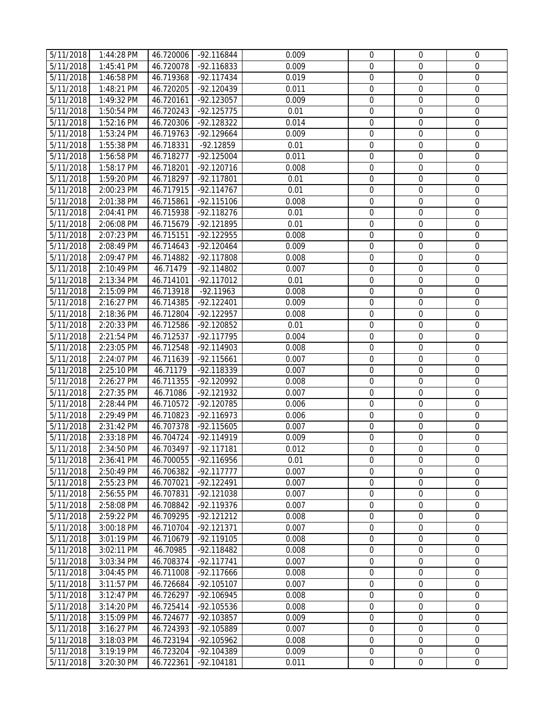| 5/11/2018              | 1:44:28 PM | 46.720006 | -92.116844   | 0.009 | 0                | $\mathbf 0$      | 0                |
|------------------------|------------|-----------|--------------|-------|------------------|------------------|------------------|
| 5/11/2018              | 1:45:41 PM | 46.720078 | -92.116833   | 0.009 | $\mathbf 0$      | $\boldsymbol{0}$ | 0                |
| 5/11/2018              | 1:46:58 PM | 46.719368 | $-92.117434$ | 0.019 | $\mathbf 0$      | $\boldsymbol{0}$ | $\boldsymbol{0}$ |
| 5/11/2018              | 1:48:21 PM | 46.720205 | $-92.120439$ | 0.011 | $\mathbf 0$      | $\boldsymbol{0}$ | $\boldsymbol{0}$ |
| 5/11/2018              | 1:49:32 PM | 46.720161 | $-92.123057$ | 0.009 | $\mathbf 0$      | $\mathbf 0$      | $\boldsymbol{0}$ |
| 5/11/2018              | 1:50:54 PM | 46.720243 | $-92.125775$ | 0.01  | $\mathbf 0$      | $\boldsymbol{0}$ | $\boldsymbol{0}$ |
| 5/11/2018              | 1:52:16 PM | 46.720306 | $-92.128322$ | 0.014 | $\mathbf 0$      | $\boldsymbol{0}$ | $\mathbf 0$      |
| 5/11/2018              | 1:53:24 PM | 46.719763 | -92.129664   | 0.009 | $\mathbf 0$      | 0                | 0                |
| 5/11/2018              | 1:55:38 PM | 46.718331 | -92.12859    | 0.01  | $\mathbf 0$      | $\mathbf 0$      | 0                |
| 5/11/2018              | 1:56:58 PM | 46.718277 | $-92.125004$ | 0.011 | $\mathbf 0$      | $\mathbf 0$      | 0                |
| 5/11/2018              | 1:58:17 PM | 46.718201 | $-92.120716$ | 0.008 | $\mathbf 0$      | $\boldsymbol{0}$ | $\mathbf 0$      |
| 5/11/2018              | 1:59:20 PM | 46.718297 | $-92.117801$ | 0.01  | $\mathbf 0$      | $\boldsymbol{0}$ | $\boldsymbol{0}$ |
| 5/11/2018              | 2:00:23 PM | 46.717915 | $-92.114767$ | 0.01  | $\mathbf 0$      | $\boldsymbol{0}$ | $\boldsymbol{0}$ |
| 5/11/2018              | 2:01:38 PM | 46.715861 | $-92.115106$ | 0.008 | $\boldsymbol{0}$ | $\boldsymbol{0}$ | $\boldsymbol{0}$ |
| 5/11/2018              | 2:04:41 PM | 46.715938 | -92.118276   | 0.01  | $\boldsymbol{0}$ | $\boldsymbol{0}$ | 0                |
| 5/11/2018              | 2:06:08 PM | 46.715679 | -92.121895   | 0.01  | $\boldsymbol{0}$ | $\boldsymbol{0}$ | $\boldsymbol{0}$ |
| 5/11/2018              | 2:07:23 PM | 46.715151 | $-92.122955$ | 0.008 | $\mathbf 0$      | $\mathbf 0$      | $\boldsymbol{0}$ |
| 5/11/2018              | 2:08:49 PM | 46.714643 | $-92.120464$ | 0.009 | $\mathbf 0$      | $\boldsymbol{0}$ | 0                |
| 5/11/2018              | 2:09:47 PM | 46.714882 | $-92.117808$ | 0.008 | $\boldsymbol{0}$ | $\boldsymbol{0}$ | 0                |
| 5/11/2018              | 2:10:49 PM | 46.71479  | $-92.114802$ | 0.007 | $\boldsymbol{0}$ | $\boldsymbol{0}$ | 0                |
| 5/11/2018              | 2:13:34 PM | 46.714101 | -92.117012   | 0.01  | $\boldsymbol{0}$ | $\boldsymbol{0}$ | 0                |
| 5/11/2018              | 2:15:09 PM | 46.713918 | $-92.11963$  | 0.008 | $\mathbf 0$      | 0                | 0                |
| 5/11/2018              | 2:16:27 PM | 46.714385 | $-92.122401$ | 0.009 | $\boldsymbol{0}$ | $\boldsymbol{0}$ | 0                |
| 5/11/2018              | 2:18:36 PM | 46.712804 | $-92.122957$ | 0.008 | $\mathbf 0$      | 0                | $\mathbf 0$      |
| 5/11/2018              | 2:20:33 PM | 46.712586 | -92.120852   | 0.01  | $\boldsymbol{0}$ | $\boldsymbol{0}$ | $\boldsymbol{0}$ |
| 5/11/2018              | 2:21:54 PM | 46.712537 | $-92.117795$ | 0.004 | $\mathbf 0$      | $\mathbf 0$      | 0                |
| 5/11/2018              | 2:23:05 PM | 46.712548 | $-92.114903$ | 0.008 | $\boldsymbol{0}$ | $\boldsymbol{0}$ | 0                |
| 5/11/2018              | 2:24:07 PM | 46.711639 | $-92.115661$ | 0.007 | $\mathbf 0$      | $\mathbf 0$      | $\mathbf 0$      |
| 5/11/2018              | 2:25:10 PM | 46.71179  | -92.118339   | 0.007 | $\boldsymbol{0}$ | $\boldsymbol{0}$ | $\boldsymbol{0}$ |
| 5/11/2018              | 2:26:27 PM | 46.711355 | -92.120992   | 0.008 | $\boldsymbol{0}$ | $\boldsymbol{0}$ | 0                |
| 5/11/2018              | 2:27:35 PM | 46.71086  | -92.121932   | 0.007 | $\boldsymbol{0}$ | $\boldsymbol{0}$ | $\boldsymbol{0}$ |
| 5/11/2018              | 2:28:44 PM | 46.710572 | -92.120785   | 0.006 | $\mathbf 0$      | $\boldsymbol{0}$ | $\mathbf 0$      |
| 5/11/2018              | 2:29:49 PM | 46.710823 | $-92.116973$ | 0.006 | $\boldsymbol{0}$ | $\boldsymbol{0}$ | 0                |
| 5/11/2018              | 2:31:42 PM | 46.707378 | -92.115605   | 0.007 | $\boldsymbol{0}$ | $\boldsymbol{0}$ | 0                |
| 5/11/2018              | 2:33:18 PM | 46.704724 | $-92.114919$ | 0.009 | $\boldsymbol{0}$ | $\boldsymbol{0}$ | 0                |
| $\overline{5}/11/2018$ | 2:34:50 PM | 46.703497 | -92.117181   | 0.012 | $\boldsymbol{0}$ | $\boldsymbol{0}$ | $\mathbf 0$      |
| 5/11/2018              | 2:36:41 PM | 46.700055 | -92.116956   | 0.01  | 0                | $\mathbf 0$      | 0                |
| 5/11/2018              | 2:50:49 PM | 46.706382 | $-92.117777$ | 0.007 | $\Omega$         | $\mathbf 0$      | 0                |
| 5/11/2018              | 2:55:23 PM | 46.707021 | $-92.122491$ | 0.007 | $\mathbf 0$      | $\mathbf 0$      | $\boldsymbol{0}$ |
| 5/11/2018              | 2:56:55 PM | 46.707831 | $-92.121038$ | 0.007 | $\mathbf 0$      | $\mathbf 0$      | $\mathbf 0$      |
| 5/11/2018              | 2:58:08 PM | 46.708842 | -92.119376   | 0.007 | $\mathbf 0$      | 0                | 0                |
| 5/11/2018              | 2:59:22 PM | 46.709295 | $-92.121212$ | 0.008 | $\mathbf 0$      | $\Omega$         | 0                |
| 5/11/2018              | 3:00:18 PM | 46.710704 | $-92.121371$ | 0.007 | $\mathbf 0$      | $\mathbf 0$      | $\mathbf 0$      |
| 5/11/2018              | 3:01:19 PM | 46.710679 | $-92.119105$ | 0.008 | $\mathbf 0$      | $\mathbf 0$      | $\mathbf 0$      |
| 5/11/2018              | 3:02:11 PM | 46.70985  | $-92.118482$ | 0.008 | $\mathbf 0$      | $\mathbf 0$      | $\boldsymbol{0}$ |
| 5/11/2018              | 3:03:34 PM | 46.708374 | $-92.117741$ | 0.007 | $\mathbf 0$      | $\mathbf 0$      | $\boldsymbol{0}$ |
| 5/11/2018              | 3:04:45 PM | 46.711008 | -92.117666   | 0.008 | $\boldsymbol{0}$ | 0                | 0                |
| 5/11/2018              | 3:11:57 PM | 46.726684 | $-92.105107$ | 0.007 | $\boldsymbol{0}$ | $\boldsymbol{0}$ | 0                |
| 5/11/2018              | 3:12:47 PM | 46.726297 | -92.106945   | 0.008 | $\boldsymbol{0}$ | $\boldsymbol{0}$ | $\boldsymbol{0}$ |
| 5/11/2018              | 3:14:20 PM | 46.725414 | -92.105536   | 0.008 | $\mathbf 0$      | $\mathbf 0$      | $\boldsymbol{0}$ |
| 5/11/2018              | 3:15:09 PM | 46.724677 | -92.103857   | 0.009 | $\mathbf 0$      | $\boldsymbol{0}$ | 0                |
| 5/11/2018              | 3:16:27 PM | 46.724393 | -92.105889   | 0.007 | $\boldsymbol{0}$ | $\boldsymbol{0}$ | $\boldsymbol{0}$ |
| 5/11/2018              | 3:18:03 PM | 46.723194 | -92.105962   | 0.008 | $\mathbf 0$      | $\boldsymbol{0}$ | 0                |
| 5/11/2018              | 3:19:19 PM | 46.723204 | -92.104389   | 0.009 | $\mathbf 0$      | $\mathbf 0$      | $\boldsymbol{0}$ |
| 5/11/2018              | 3:20:30 PM | 46.722361 | $-92.104181$ | 0.011 | $\boldsymbol{0}$ | 0                | 0                |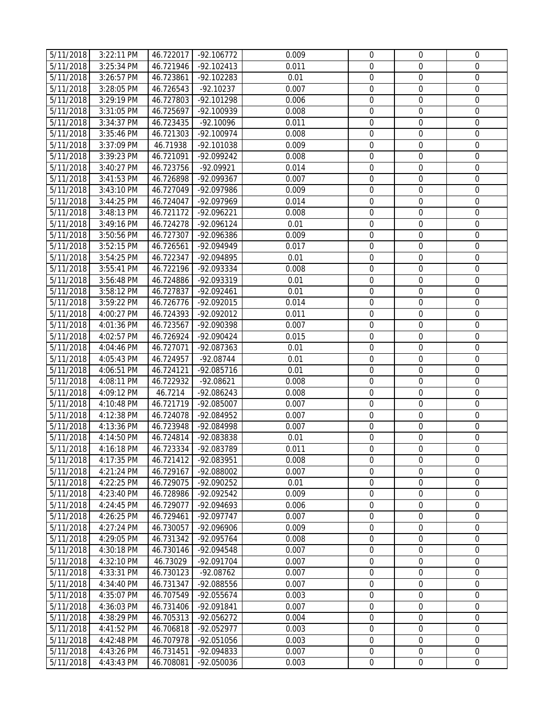| 5/11/2018                           | 3:22:11 PM               | 46.722017              | $-92.106772$             | 0.009         | $\mathbf 0$                          | 0                                    | $\mathbf{0}$          |
|-------------------------------------|--------------------------|------------------------|--------------------------|---------------|--------------------------------------|--------------------------------------|-----------------------|
| 5/11/2018                           | 3:25:34 PM               | 46.721946              | $-92.102413$             | 0.011         | $\mathbf 0$                          | $\mathbf{0}$                         | 0                     |
| 5/11/2018                           | 3:26:57 PM               | 46.723861              | $-92.102283$             | 0.01          | $\mathbf 0$                          | $\mathbf 0$                          | $\mathbf 0$           |
| 5/11/2018                           | 3:28:05 PM               | 46.726543              | $-92.10237$              | 0.007         | $\mathbf 0$                          | $\mathbf 0$                          | $\boldsymbol{0}$      |
| 5/11/2018                           | 3:29:19 PM               | 46.727803              | -92.101298               | 0.006         | $\mathbf 0$                          | $\mathbf 0$                          | $\boldsymbol{0}$      |
| 5/11/2018                           | 3:31:05 PM               | 46.725697              | -92.100939               | 0.008         | $\mathbf 0$                          | $\mathbf 0$                          | $\boldsymbol{0}$      |
| 5/11/2018                           | 3:34:37 PM               | 46.723435              | $-92.10096$              | 0.011         | $\mathbf 0$                          | $\mathbf 0$                          | $\mathbf 0$           |
| 5/11/2018                           | 3:35:46 PM               | 46.721303              | $-92.100974$             | 0.008         | $\mathbf 0$                          | $\mathbf 0$                          | $\mathbf 0$           |
| 5/11/2018                           | 3:37:09 PM               | 46.71938               | -92.101038               | 0.009         | $\mathbf 0$                          | $\mathbf 0$                          | $\mathbf 0$           |
| 5/11/2018                           | 3:39:23 PM               | 46.721091              | -92.099242               | 0.008         | $\mathbf 0$                          | $\mathbf 0$                          | $\boldsymbol{0}$      |
| 5/11/2018                           | 3:40:27 PM               | 46.723756              | $-92.09921$              | 0.014         | $\mathbf 0$                          | $\boldsymbol{0}$                     | $\mathbf 0$           |
| 5/11/2018                           | 3:41:53 PM               | 46.726898              | -92.099367               | 0.007         | $\mathbf 0$                          | $\mathbf 0$                          | $\boldsymbol{0}$      |
| 5/11/2018                           | 3:43:10 PM               | 46.727049              | -92.097986               | 0.009         | $\mathbf 0$                          | $\mathbf 0$                          | $\boldsymbol{0}$      |
| 5/11/2018                           | 3:44:25 PM               | 46.724047              | -92.097969               | 0.014         | $\boldsymbol{0}$                     | $\boldsymbol{0}$                     | $\boldsymbol{0}$      |
| 5/11/2018                           | 3:48:13 PM               | 46.721172              | -92.096221               | 0.008         | $\boldsymbol{0}$                     | $\boldsymbol{0}$                     | 0                     |
| 5/11/2018                           | 3:49:16 PM               | 46.724278              | -92.096124               | 0.01          | $\mathbf 0$                          | $\boldsymbol{0}$                     | $\boldsymbol{0}$      |
| 5/11/2018                           | 3:50:56 PM               | 46.727307              | -92.096386               | 0.009         | $\mathbf 0$                          | $\mathbf 0$                          | 0                     |
| 5/11/2018                           | 3:52:15 PM               | 46.726561              | -92.094949               | 0.017         | $\mathbf 0$                          | $\mathbf{0}$                         | $\boldsymbol{0}$      |
| 5/11/2018                           | 3:54:25 PM               | 46.722347              | -92.094895               | 0.01          | $\boldsymbol{0}$                     | $\boldsymbol{0}$                     | $\mathbf 0$           |
| 5/11/2018                           | 3:55:41 PM               | 46.722196              | -92.093334               | 0.008         | $\boldsymbol{0}$                     | $\boldsymbol{0}$                     | 0                     |
| 5/11/2018                           | 3:56:48 PM               | 46.724886              | -92.093319               | 0.01          | $\mathbf 0$                          | $\boldsymbol{0}$                     | $\boldsymbol{0}$      |
| 5/11/2018                           | 3:58:12 PM               | 46.727837              | -92.092461               | 0.01          | $\mathbf 0$                          | $\mathbf 0$                          | 0                     |
| 5/11/2018                           | 3:59:22 PM               | 46.726776              | $-92.092015$             | 0.014         | $\boldsymbol{0}$                     | $\boldsymbol{0}$                     | 0                     |
| 5/11/2018                           | 4:00:27 PM               | 46.724393              | -92.092012               | 0.011         | $\mathbf 0$                          | $\boldsymbol{0}$                     | 0                     |
| 5/11/2018                           | 4:01:36 PM               | 46.723567              | -92.090398               | 0.007         | $\mathbf 0$                          | $\mathbf 0$                          | 0                     |
| 5/11/2018                           | 4:02:57 PM               | 46.726924              | -92.090424               | 0.015         | $\mathbf 0$                          | $\mathbf 0$                          | 0                     |
| 5/11/2018                           | 4:04:46 PM               | 46.727071              | -92.087363               | 0.01          | $\mathbf 0$                          | $\mathbf 0$                          | $\boldsymbol{0}$      |
| 5/11/2018                           | 4:05:43 PM               | 46.724957              | $-92.08744$              | 0.01          | $\mathbf 0$                          | $\boldsymbol{0}$                     | $\mathbf 0$           |
| 5/11/2018                           | 4:06:51 PM               | 46.724121              | -92.085716               | 0.01          | $\boldsymbol{0}$                     | $\boldsymbol{0}$                     | $\boldsymbol{0}$      |
| 5/11/2018                           | 4:08:11 PM               | 46.722932              | $-92.08621$              | 0.008         | $\boldsymbol{0}$                     | $\boldsymbol{0}$                     | 0                     |
| 5/11/2018                           | 4:09:12 PM               | 46.7214                | -92.086243               | 0.008         | $\boldsymbol{0}$                     | $\boldsymbol{0}$                     | 0<br>$\boldsymbol{0}$ |
| 5/11/2018                           | 4:10:48 PM<br>4:12:38 PM | 46.721719              | $-92.085007$             | 0.007         | $\mathbf 0$                          | $\mathbf 0$                          |                       |
| 5/11/2018                           |                          | 46.724078              | -92.084952               | 0.007         | $\boldsymbol{0}$<br>$\boldsymbol{0}$ | $\boldsymbol{0}$                     | 0                     |
| 5/11/2018                           | 4:13:36 PM<br>4:14:50 PM | 46.723948<br>46.724814 | -92.084998               | 0.007<br>0.01 | $\overline{0}$                       | $\boldsymbol{0}$<br>$\boldsymbol{0}$ | 0<br>0                |
| 5/11/2018<br>$\overline{5/11/2018}$ | 4:16:18 PM               | 46.723334              | -92.083838<br>-92.083789 | 0.011         | $\mathbf 0$                          | $\mathbf 0$                          | $\mathbf 0$           |
| 5/11/2018                           | 4:17:35 PM               | 46.721412              | -92.083951               | 0.008         | $\mathbf 0$                          | $\mathbf 0$                          | 0                     |
| 5/11/2018                           | 4:21:24 PM               | 46.729167              | -92.088002               | 0.007         | $\Omega$                             | $\Omega$                             | $\mathbf 0$           |
| 5/11/2018                           | 4:22:25 PM               | 46.729075              | -92.090252               | 0.01          | $\mathbf 0$                          | $\mathbf 0$                          | $\boldsymbol{0}$      |
| 5/11/2018                           | 4:23:40 PM               | 46.728986              | -92.092542               | 0.009         | $\mathbf 0$                          | $\mathbf 0$                          | $\mathbf 0$           |
| 5/11/2018                           | 4:24:45 PM               | 46.729077              | -92.094693               | 0.006         | $\mathbf 0$                          | $\mathbf 0$                          | $\mathbf 0$           |
| 5/11/2018                           | 4:26:25 PM               | 46.729461              | -92.097747               | 0.007         | $\Omega$                             | $\Omega$                             | $\mathbf 0$           |
| 5/11/2018                           | 4:27:24 PM               | 46.730057              | -92.096906               | 0.009         | $\mathbf 0$                          | $\mathbf 0$                          | $\mathbf 0$           |
| 5/11/2018                           | 4:29:05 PM               | 46.731342              | -92.095764               | 0.008         | $\boldsymbol{0}$                     | $\boldsymbol{0}$                     | $\mathbf 0$           |
| 5/11/2018                           | 4:30:18 PM               | 46.730146              | -92.094548               | 0.007         | $\mathbf 0$                          | $\mathbf 0$                          | $\mathbf 0$           |
| 5/11/2018                           | 4:32:10 PM               | 46.73029               | -92.091704               | 0.007         | $\mathbf 0$                          | $\mathbf 0$                          | $\boldsymbol{0}$      |
| 5/11/2018                           | 4:33:31 PM               | 46.730123              | -92.08762                | 0.007         | $\boldsymbol{0}$                     | $\boldsymbol{0}$                     | $\boldsymbol{0}$      |
| 5/11/2018                           | 4:34:40 PM               | 46.731347              | -92.088556               | 0.007         | $\boldsymbol{0}$                     | $\boldsymbol{0}$                     | $\mathbf 0$           |
| 5/11/2018                           | 4:35:07 PM               | 46.707549              | -92.055674               | 0.003         | $\overline{0}$                       | $\mathbf 0$                          | $\boldsymbol{0}$      |
| 5/11/2018                           | 4:36:03 PM               | 46.731406              | -92.091841               | 0.007         | $\mathbf 0$                          | $\mathbf{0}$                         | 0                     |
| 5/11/2018                           | 4:38:29 PM               | 46.705313              | -92.056272               | 0.004         | $\overline{0}$                       | $\mathbf{0}$                         | $\boldsymbol{0}$      |
| $\overline{5/11/2018}$              | 4:41:52 PM               | 46.706818              | $-92.052977$             | 0.003         | $\boldsymbol{0}$                     | $\mathbf 0$                          | $\mathbf 0$           |
| 5/11/2018                           | 4:42:48 PM               | 46.707978              | -92.051056               | 0.003         | $\mathbf 0$                          | $\mathbf 0$                          | $\boldsymbol{0}$      |
| 5/11/2018                           | 4:43:26 PM               | 46.731451              | -92.094833               | 0.007         | $\mathbf 0$                          | $\mathbf 0$                          | $\boldsymbol{0}$      |
| 5/11/2018                           | 4:43:43 PM               | 46.708081              | -92.050036               | 0.003         | $\mathbf 0$                          | $\overline{0}$                       | 0                     |
|                                     |                          |                        |                          |               |                                      |                                      |                       |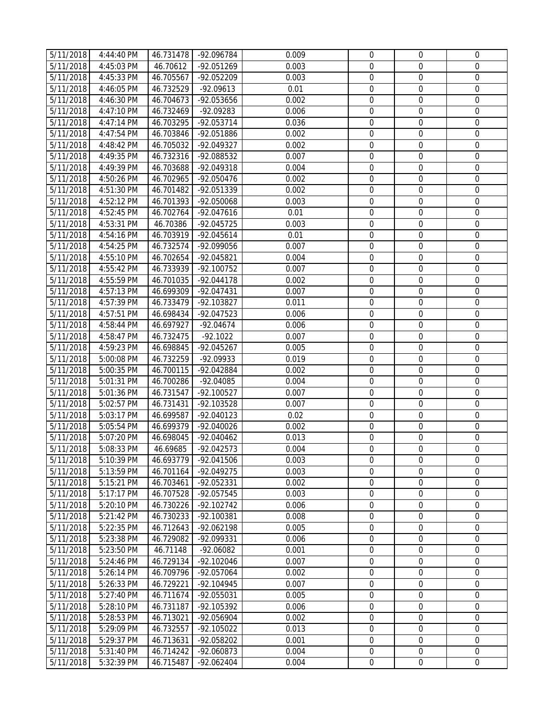| 5/11/2018 | 4:44:40 PM   | 46.731478 | -92.096784   | 0.009 | 0                                    | 0                                    | 0                |
|-----------|--------------|-----------|--------------|-------|--------------------------------------|--------------------------------------|------------------|
| 5/11/2018 | 4:45:03 PM   | 46.70612  | -92.051269   | 0.003 | $\mathbf{0}$                         | $\boldsymbol{0}$                     | 0                |
| 5/11/2018 | 4:45:33 PM   | 46.705567 | -92.052209   | 0.003 | $\mathbf 0$                          | $\boldsymbol{0}$                     | $\boldsymbol{0}$ |
| 5/11/2018 | 4:46:05 PM   | 46.732529 | $-92.09613$  | 0.01  | $\mathbf 0$                          | $\boldsymbol{0}$                     | $\boldsymbol{0}$ |
| 5/11/2018 | 4:46:30 PM   | 46.704673 | -92.053656   | 0.002 | $\mathbf 0$                          | $\mathbf 0$                          | $\boldsymbol{0}$ |
| 5/11/2018 | 4:47:10 PM   | 46.732469 | -92.09283    | 0.006 | $\mathbf 0$                          | $\boldsymbol{0}$                     | $\boldsymbol{0}$ |
| 5/11/2018 | 4:47:14 PM   | 46.703295 | -92.053714   | 0.036 | $\mathbf 0$                          | $\mathbf 0$                          | $\mathbf 0$      |
| 5/11/2018 | 4:47:54 PM   | 46.703846 | -92.051886   | 0.002 | $\mathbf 0$                          | $\mathbf 0$                          | 0                |
| 5/11/2018 | 4:48:42 PM   | 46.705032 | -92.049327   | 0.002 | $\mathbf 0$                          | $\mathbf 0$                          | 0                |
| 5/11/2018 | 4:49:35 PM   | 46.732316 | -92.088532   | 0.007 | $\mathbf{0}$                         | $\mathbf 0$                          | 0                |
| 5/11/2018 | 4:49:39 PM   | 46.703688 | -92.049318   | 0.004 | $\mathbf 0$                          | $\boldsymbol{0}$                     | $\boldsymbol{0}$ |
| 5/11/2018 | 4:50:26 PM   | 46.702965 | -92.050476   | 0.002 | $\mathbf 0$                          | $\boldsymbol{0}$                     | 0                |
| 5/11/2018 | 4:51:30 PM   | 46.701482 | -92.051339   | 0.002 | $\boldsymbol{0}$                     | $\boldsymbol{0}$                     | 0                |
| 5/11/2018 | 4:52:12 PM   | 46.701393 | -92.050068   | 0.003 | $\boldsymbol{0}$                     | $\boldsymbol{0}$                     | $\boldsymbol{0}$ |
| 5/11/2018 | 4:52:45 PM   | 46.702764 | $-92.047616$ | 0.01  | $\boldsymbol{0}$                     | $\boldsymbol{0}$                     | $\boldsymbol{0}$ |
| 5/11/2018 | 4:53:31 PM   | 46.70386  | -92.045725   | 0.003 | $\boldsymbol{0}$                     | $\boldsymbol{0}$                     | $\boldsymbol{0}$ |
| 5/11/2018 | 4:54:16 PM   | 46.703919 | $-92.045614$ | 0.01  | $\boldsymbol{0}$                     | $\boldsymbol{0}$                     | 0                |
| 5/11/2018 | 4:54:25 PM   | 46.732574 | -92.099056   | 0.007 | $\boldsymbol{0}$                     | $\boldsymbol{0}$                     | 0                |
| 5/11/2018 | 4:55:10 PM   | 46.702654 | -92.045821   | 0.004 | $\boldsymbol{0}$                     | $\boldsymbol{0}$                     | 0                |
| 5/11/2018 | 4:55:42 PM   | 46.733939 | $-92.100752$ | 0.007 | $\boldsymbol{0}$                     | $\boldsymbol{0}$                     | 0                |
| 5/11/2018 | 4:55:59 PM   | 46.701035 | $-92.044178$ | 0.002 | $\boldsymbol{0}$                     | $\boldsymbol{0}$                     | 0                |
| 5/11/2018 | 4:57:13 PM   | 46.699309 | -92.047431   | 0.007 | $\mathbf 0$                          | $\boldsymbol{0}$                     | 0                |
| 5/11/2018 | 4:57:39 PM   | 46.733479 | -92.103827   | 0.011 | $\boldsymbol{0}$                     | 0                                    | 0                |
| 5/11/2018 | 4:57:51 PM   | 46.698434 | -92.047523   | 0.006 | $\boldsymbol{0}$                     | $\mathbf 0$                          | 0                |
| 5/11/2018 | 4:58:44 PM   | 46.697927 | $-92.04674$  | 0.006 | $\boldsymbol{0}$                     | $\boldsymbol{0}$                     | $\boldsymbol{0}$ |
| 5/11/2018 | 4:58:47 PM   | 46.732475 | $-92.1022$   | 0.007 | $\mathbf 0$                          | $\boldsymbol{0}$                     | 0                |
| 5/11/2018 | 4:59:23 PM   | 46.698845 | -92.045267   | 0.005 | $\boldsymbol{0}$                     | $\boldsymbol{0}$                     | 0                |
| 5/11/2018 | 5:00:08 PM   | 46.732259 | -92.09933    | 0.019 | $\boldsymbol{0}$                     | $\boldsymbol{0}$                     | $\boldsymbol{0}$ |
| 5/11/2018 | 5:00:35 PM   | 46.700115 | -92.042884   | 0.002 | $\boldsymbol{0}$                     | $\boldsymbol{0}$                     | 0                |
| 5/11/2018 | 5:01:31 PM   | 46.700286 | $-92.04085$  | 0.004 | $\boldsymbol{0}$                     | $\boldsymbol{0}$                     | 0                |
| 5/11/2018 | 5:01:36 PM   | 46.731547 | $-92.100527$ | 0.007 | $\boldsymbol{0}$                     | $\boldsymbol{0}$                     | $\boldsymbol{0}$ |
| 5/11/2018 | 5:02:57 PM   | 46.731431 | -92.103528   | 0.007 | $\boldsymbol{0}$                     | $\mathbf 0$                          | $\mathbf 0$      |
| 5/11/2018 | 5:03:17 PM   | 46.699587 | -92.040123   | 0.02  | $\boldsymbol{0}$                     | $\boldsymbol{0}$                     | $\boldsymbol{0}$ |
| 5/11/2018 | 5:05:54 PM   |           |              | 0.002 |                                      |                                      |                  |
|           |              | 46.699379 | -92.040026   |       | $\boldsymbol{0}$                     | $\boldsymbol{0}$                     | 0                |
| 5/11/2018 | 5:07:20 PM   | 46.698045 | -92.040462   | 0.013 | $\boldsymbol{0}$<br>$\boldsymbol{0}$ | $\boldsymbol{0}$<br>$\boldsymbol{0}$ | 0<br>$\mathbf 0$ |
| 5/11/2018 | 5:08:33 PM   | 46.69685  | -92.042573   | 0.004 |                                      |                                      |                  |
| 5/11/2018 | 5:10:39 PM   | 46.693779 | -92.041506   | 0.003 | $\mathbf 0$                          | $\mathbf 0$                          | 0                |
| 5/11/2018 | 5:13:59 PM   | 46.701164 | $-92.049275$ | 0.003 | $\Omega$                             | $\mathbf 0$                          | 0                |
| 5/11/2018 | 5:15:21 PM   | 46.703461 | -92.052331   | 0.002 | $\mathbf 0$                          | $\boldsymbol{0}$                     | $\boldsymbol{0}$ |
| 5/11/2018 | $5:17:17$ PM | 46.707528 | -92.057545   | 0.003 | $\mathbf 0$                          | 0                                    | 0                |
| 5/11/2018 | 5:20:10 PM   | 46.730226 | -92.102742   | 0.006 | $\mathbf 0$                          | 0                                    | 0                |
| 5/11/2018 | 5:21:42 PM   | 46.730233 | -92.100381   | 0.008 | $\mathbf 0$                          | $\mathbf 0$                          | 0                |
| 5/11/2018 | 5:22:35 PM   | 46.712643 | -92.062198   | 0.005 | $\mathbf 0$                          | $\mathbf 0$                          | 0                |
| 5/11/2018 | 5:23:38 PM   | 46.729082 | -92.099331   | 0.006 | $\boldsymbol{0}$                     | $\mathbf 0$                          | $\mathbf 0$      |
| 5/11/2018 | 5:23:50 PM   | 46.71148  | $-92.06082$  | 0.001 | $\mathbf 0$                          | $\boldsymbol{0}$                     | 0                |
| 5/11/2018 | 5:24:46 PM   | 46.729134 | -92.102046   | 0.007 | $\boldsymbol{0}$                     | $\boldsymbol{0}$                     | 0                |
| 5/11/2018 | 5:26:14 PM   | 46.709796 | -92.057064   | 0.002 | $\boldsymbol{0}$                     | $\boldsymbol{0}$                     | 0                |
| 5/11/2018 | 5:26:33 PM   | 46.729221 | -92.104945   | 0.007 | $\boldsymbol{0}$                     | $\boldsymbol{0}$                     | $\boldsymbol{0}$ |
| 5/11/2018 | 5:27:40 PM   | 46.711674 | -92.055031   | 0.005 | $\boldsymbol{0}$                     | $\boldsymbol{0}$                     | 0                |
| 5/11/2018 | 5:28:10 PM   | 46.731187 | -92.105392   | 0.006 | $\boldsymbol{0}$                     | $\mathbf 0$                          | 0                |
| 5/11/2018 | 5:28:53 PM   | 46.713021 | -92.056904   | 0.002 | $\boldsymbol{0}$                     | $\boldsymbol{0}$                     | 0                |
| 5/11/2018 | 5:29:09 PM   | 46.732557 | $-92.105022$ | 0.013 | $\mathbf 0$                          | $\boldsymbol{0}$                     | 0                |
| 5/11/2018 | 5:29:37 PM   | 46.713631 | -92.058202   | 0.001 | $\mathbf 0$                          | $\boldsymbol{0}$                     | 0                |
| 5/11/2018 | 5:31:40 PM   | 46.714242 | -92.060873   | 0.004 | $\mathbf 0$                          | $\mathbf 0$                          | $\boldsymbol{0}$ |
| 5/11/2018 | 5:32:39 PM   | 46.715487 | -92.062404   | 0.004 | $\mathbf 0$                          | $\boldsymbol{0}$                     | $\boldsymbol{0}$ |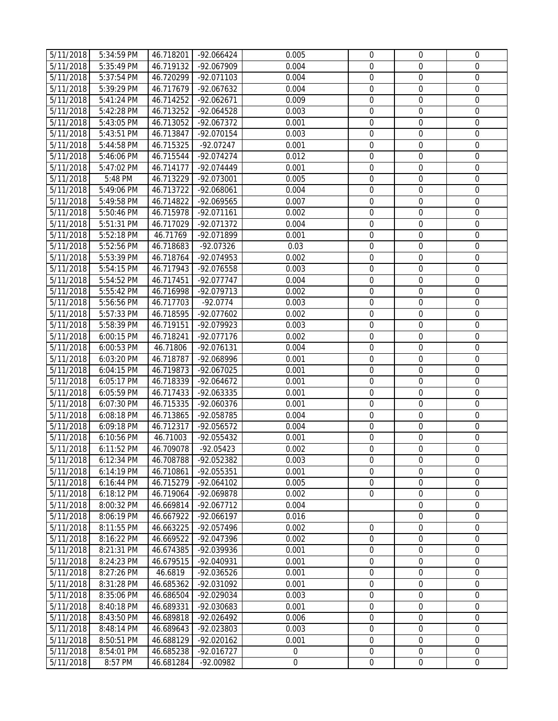| 5/11/2018 | 5:34:59 PM   | 46.718201 | $-92.066424$ | 0.005            | $\mathbf 0$      | 0                | 0                |
|-----------|--------------|-----------|--------------|------------------|------------------|------------------|------------------|
| 5/11/2018 | 5:35:49 PM   | 46.719132 | -92.067909   | 0.004            | $\mathbf 0$      | $\mathbf{0}$     | $\boldsymbol{0}$ |
| 5/11/2018 | 5:37:54 PM   | 46.720299 | $-92.071103$ | 0.004            | $\mathbf 0$      | $\mathbf 0$      | $\mathbf 0$      |
| 5/11/2018 | 5:39:29 PM   | 46.717679 | -92.067632   | 0.004            | $\mathbf 0$      | $\mathbf 0$      | $\boldsymbol{0}$ |
| 5/11/2018 | 5:41:24 PM   | 46.714252 | -92.062671   | 0.009            | $\mathbf 0$      | $\mathbf 0$      | $\boldsymbol{0}$ |
| 5/11/2018 | 5:42:28 PM   | 46.713252 | -92.064528   | 0.003            | $\mathbf 0$      | $\mathbf 0$      | $\boldsymbol{0}$ |
| 5/11/2018 | 5:43:05 PM   | 46.713052 | -92.067372   | 0.001            | $\mathbf 0$      | $\mathbf 0$      | $\mathbf 0$      |
| 5/11/2018 | $5:43:51$ PM | 46.713847 | -92.070154   | 0.003            | $\mathbf 0$      | $\mathbf 0$      | $\mathbf 0$      |
| 5/11/2018 | 5:44:58 PM   | 46.715325 | $-92.07247$  | 0.001            | $\mathbf 0$      | $\mathbf 0$      | $\mathbf 0$      |
| 5/11/2018 | 5:46:06 PM   | 46.715544 | -92.074274   | 0.012            | $\mathbf 0$      | $\mathbf 0$      | $\boldsymbol{0}$ |
| 5/11/2018 | 5:47:02 PM   | 46.714177 | -92.074449   | 0.001            | $\mathbf 0$      | $\boldsymbol{0}$ | $\mathbf 0$      |
| 5/11/2018 | 5:48 PM      | 46.713229 | -92.073001   | 0.005            | $\mathbf 0$      | $\mathbf 0$      | $\boldsymbol{0}$ |
| 5/11/2018 | 5:49:06 PM   | 46.713722 | -92.068061   | 0.004            | $\mathbf 0$      | $\mathbf 0$      | $\boldsymbol{0}$ |
| 5/11/2018 | 5:49:58 PM   | 46.714822 | -92.069565   | 0.007            | $\boldsymbol{0}$ | $\boldsymbol{0}$ | $\boldsymbol{0}$ |
| 5/11/2018 | 5:50:46 PM   | 46.715978 | $-92.071161$ | 0.002            | $\boldsymbol{0}$ | $\boldsymbol{0}$ | 0                |
| 5/11/2018 | 5:51:31 PM   | 46.717029 | -92.071372   | 0.004            | $\overline{0}$   | $\boldsymbol{0}$ | $\boldsymbol{0}$ |
| 5/11/2018 | 5:52:18 PM   | 46.71769  | -92.071899   | 0.001            | $\mathbf 0$      | $\mathbf{0}$     | $\boldsymbol{0}$ |
| 5/11/2018 | 5:52:56 PM   | 46.718683 | $-92.07326$  | 0.03             | $\overline{0}$   | $\mathbf{0}$     | $\boldsymbol{0}$ |
| 5/11/2018 | 5:53:39 PM   | 46.718764 | -92.074953   | 0.002            | $\boldsymbol{0}$ | $\boldsymbol{0}$ | $\mathbf 0$      |
| 5/11/2018 | 5:54:15 PM   | 46.717943 | -92.076558   | 0.003            | $\mathbf 0$      | $\mathbf 0$      | 0                |
| 5/11/2018 | 5:54:52 PM   | 46.717451 | -92.077747   | 0.004            | $\mathbf 0$      | $\boldsymbol{0}$ | $\boldsymbol{0}$ |
| 5/11/2018 | 5:55:42 PM   | 46.716998 | -92.079713   | 0.002            | $\mathbf 0$      | $\mathbf 0$      | 0                |
| 5/11/2018 | 5:56:56 PM   | 46.717703 | $-92.0774$   | 0.003            | $\boldsymbol{0}$ | $\mathbf 0$      | 0                |
| 5/11/2018 | 5:57:33 PM   | 46.718595 | -92.077602   | 0.002            | $\mathbf 0$      | $\boldsymbol{0}$ | $\mathbf 0$      |
| 5/11/2018 | 5:58:39 PM   | 46.719151 | -92.079923   | 0.003            | $\mathbf 0$      | $\mathbf 0$      | 0                |
| 5/11/2018 | 6:00:15 PM   | 46.718241 | -92.077176   | 0.002            | $\mathbf 0$      | $\mathbf 0$      | 0                |
| 5/11/2018 | 6:00:53 PM   | 46.71806  | -92.076131   | 0.004            | $\mathbf 0$      | $\mathbf 0$      | $\boldsymbol{0}$ |
| 5/11/2018 | 6:03:20 PM   | 46.718787 | -92.068996   | 0.001            | $\mathbf 0$      | $\boldsymbol{0}$ | $\mathbf 0$      |
| 5/11/2018 | 6:04:15 PM   | 46.719873 | -92.067025   | 0.001            | $\boldsymbol{0}$ | $\boldsymbol{0}$ | $\boldsymbol{0}$ |
| 5/11/2018 | 6:05:17 PM   | 46.718339 | $-92.064672$ | 0.001            | $\boldsymbol{0}$ | $\boldsymbol{0}$ | 0                |
| 5/11/2018 | 6:05:59 PM   | 46.717433 | -92.063335   | 0.001            | $\boldsymbol{0}$ | $\boldsymbol{0}$ | 0                |
| 5/11/2018 | 6:07:30 PM   | 46.715335 | -92.060376   | 0.001            | $\mathbf 0$      | $\mathbf 0$      | $\boldsymbol{0}$ |
| 5/11/2018 | 6:08:18 PM   | 46.713865 | -92.058785   | 0.004            | $\overline{0}$   | $\boldsymbol{0}$ | $\boldsymbol{0}$ |
| 5/11/2018 | 6:09:18 PM   | 46.712317 | -92.056572   | 0.004            | $\overline{0}$   | $\boldsymbol{0}$ | $\boldsymbol{0}$ |
| 5/11/2018 | 6:10:56 PM   | 46.71003  | -92.055432   | 0.001            | $\mathbf 0$      | $\boldsymbol{0}$ | $\boldsymbol{0}$ |
| 5/11/2018 | 6:11:52 PM   | 46.709078 | $-92.05423$  | 0.002            | $\mathbf 0$      | $\mathbf 0$      | $\mathbf 0$      |
| 5/11/2018 | 6:12:34 PM   | 46.708788 | -92.052382   | 0.003            | $\mathbf 0$      | $\mathbf 0$      | 0                |
| 5/11/2018 | 6:14:19 PM   | 46.710861 | $-92.055351$ | 0.001            | $\Omega$         | $\Omega$         | $\mathbf 0$      |
| 5/11/2018 | 6:16:44 PM   | 46.715279 | $-92.064102$ | 0.005            | $\mathbf 0$      | $\mathbf 0$      | $\boldsymbol{0}$ |
| 5/11/2018 | 6:18:12 PM   | 46.719064 | -92.069878   | 0.002            | $\mathbf 0$      | $\mathbf 0$      | $\mathbf 0$      |
| 5/11/2018 | 8:00:32 PM   | 46.669814 | $-92.067712$ | 0.004            |                  | $\mathbf 0$      | $\mathbf 0$      |
| 5/11/2018 | 8:06:19 PM   | 46.667922 | -92.066197   | 0.016            |                  | $\Omega$         | $\overline{0}$   |
| 5/11/2018 | 8:11:55 PM   | 46.663225 | -92.057496   | 0.002            | $\mathbf 0$      | $\mathbf 0$      | $\mathbf 0$      |
| 5/11/2018 | 8:16:22 PM   | 46.669522 | -92.047396   | 0.002            | $\boldsymbol{0}$ | $\boldsymbol{0}$ | $\mathbf 0$      |
| 5/11/2018 | 8:21:31 PM   | 46.674385 | -92.039936   | 0.001            | $\mathbf 0$      | $\mathbf 0$      | $\mathbf 0$      |
| 5/11/2018 | 8:24:23 PM   | 46.679515 | -92.040931   | 0.001            | $\mathbf 0$      | $\mathbf 0$      | $\boldsymbol{0}$ |
| 5/11/2018 | 8:27:26 PM   | 46.6819   | -92.036526   | 0.001            | $\boldsymbol{0}$ | $\boldsymbol{0}$ | $\boldsymbol{0}$ |
| 5/11/2018 | 8:31:28 PM   | 46.685362 | -92.031092   | 0.001            | $\boldsymbol{0}$ | $\boldsymbol{0}$ | $\mathbf 0$      |
| 5/11/2018 | 8:35:06 PM   | 46.686504 | -92.029034   | 0.003            | $\mathbf 0$      | $\mathbf{0}$     | $\boldsymbol{0}$ |
| 5/11/2018 | 8:40:18 PM   | 46.689331 | -92.030683   | 0.001            | $\mathbf 0$      | $\mathbf{0}$     | 0                |
| 5/11/2018 | 8:43:50 PM   | 46.689818 | -92.026492   | 0.006            | $\mathbf 0$      | $\mathbf{0}$     | $\boldsymbol{0}$ |
| 5/11/2018 | 8:48:14 PM   | 46.689643 | -92.023803   | 0.003            | $\mathbf 0$      | $\mathbf 0$      | $\mathbf 0$      |
| 5/11/2018 | 8:50:51 PM   | 46.688129 | $-92.020162$ | 0.001            | $\mathbf 0$      | $\mathbf 0$      | $\boldsymbol{0}$ |
| 5/11/2018 | 8:54:01 PM   | 46.685238 | $-92.016727$ | $\mathbf{0}$     | $\mathbf 0$      | $\mathbf 0$      | $\boldsymbol{0}$ |
| 5/11/2018 | 8:57 PM      | 46.681284 | -92.00982    | $\boldsymbol{0}$ | $\mathbf 0$      | $\overline{0}$   | $\boldsymbol{0}$ |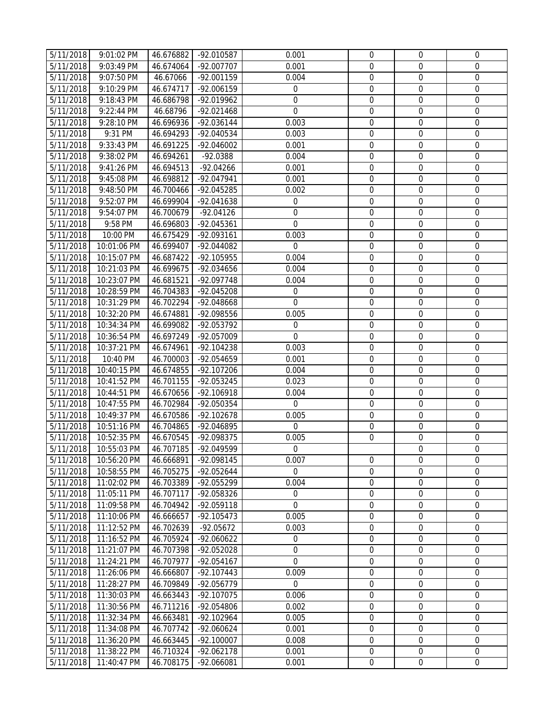| 5/11/2018 | 9:01:02 PM    | 46.676882 | -92.010587   | 0.001            | $\mathbf{0}$     | $\mathbf{0}$     | $\mathbf 0$      |
|-----------|---------------|-----------|--------------|------------------|------------------|------------------|------------------|
| 5/11/2018 | 9:03:49 PM    | 46.674064 | -92.007707   | 0.001            | $\mathbf{0}$     | $\boldsymbol{0}$ | 0                |
|           |               |           |              |                  |                  | $\boldsymbol{0}$ | $\mathbf 0$      |
| 5/11/2018 | 9:07:50 PM    | 46.67066  | -92.001159   | 0.004            | $\mathbf 0$      |                  |                  |
| 5/11/2018 | 9:10:29 PM    | 46.674717 | -92.006159   | $\overline{0}$   | $\mathbf 0$      | $\boldsymbol{0}$ | $\mathbf 0$      |
| 5/11/2018 | 9:18:43 PM    | 46.686798 | -92.019962   | $\mathbf 0$      | $\mathbf 0$      | $\mathbf 0$      | $\mathbf 0$      |
| 5/11/2018 | 9:22:44 PM    | 46.68796  | $-92.021468$ | $\mathbf 0$      | $\mathbf 0$      | $\boldsymbol{0}$ | $\boldsymbol{0}$ |
| 5/11/2018 | 9:28:10 PM    | 46.696936 | -92.036144   | 0.003            | $\mathbf 0$      | $\mathbf 0$      | $\mathbf 0$      |
| 5/11/2018 | 9:31 PM       | 46.694293 | -92.040534   | 0.003            | $\mathbf 0$      | $\mathbf 0$      | $\mathbf 0$      |
| 5/11/2018 | 9:33:43 PM    | 46.691225 | $-92.046002$ | 0.001            | $\mathbf 0$      | $\mathbf 0$      | 0                |
| 5/11/2018 | 9:38:02 PM    | 46.694261 | $-92.0388$   | 0.004            | $\mathbf 0$      | $\mathbf 0$      | 0                |
| 5/11/2018 | 9:41:26 PM    | 46.694513 | $-92.04266$  | 0.001            | $\boldsymbol{0}$ | $\boldsymbol{0}$ | $\mathbf 0$      |
| 5/11/2018 | 9:45:08 PM    | 46.698812 | -92.047941   | 0.001            | $\mathbf 0$      | $\mathbf 0$      | 0                |
| 5/11/2018 | 9:48:50 PM    | 46.700466 | -92.045285   | 0.002            | $\mathbf 0$      | $\boldsymbol{0}$ | 0                |
| 5/11/2018 | 9:52:07 PM    | 46.699904 | -92.041638   | $\boldsymbol{0}$ | $\boldsymbol{0}$ | $\boldsymbol{0}$ | 0                |
| 5/11/2018 | 9:54:07 PM    | 46.700679 | $-92.04126$  | 0                | $\boldsymbol{0}$ | $\boldsymbol{0}$ | $\boldsymbol{0}$ |
| 5/11/2018 | 9:58 PM       | 46.696803 | -92.045361   | $\mathbf 0$      | $\boldsymbol{0}$ | $\boldsymbol{0}$ | $\mathbf 0$      |
| 5/11/2018 | 10:00 PM      | 46.675429 | -92.093161   | 0.003            | $\boldsymbol{0}$ | $\mathbf 0$      | $\boldsymbol{0}$ |
| 5/11/2018 | 10:01:06 PM   | 46.699407 | -92.044082   | $\mathbf 0$      | $\boldsymbol{0}$ | $\boldsymbol{0}$ | 0                |
| 5/11/2018 | 10:15:07 PM   | 46.687422 | -92.105955   | 0.004            | $\boldsymbol{0}$ | $\boldsymbol{0}$ | 0                |
| 5/11/2018 | 10:21:03 PM   | 46.699675 | -92.034656   | 0.004            | $\mathbf 0$      | $\boldsymbol{0}$ | $\mathbf 0$      |
| 5/11/2018 | 10:23:07 PM   | 46.681521 | -92.097748   | 0.004            | $\boldsymbol{0}$ | $\boldsymbol{0}$ | $\boldsymbol{0}$ |
| 5/11/2018 | 10:28:59 PM   | 46.704383 | -92.045208   | $\mathbf 0$      | $\mathbf 0$      | $\mathbf 0$      | 0                |
| 5/11/2018 | 10:31:29 PM   | 46.702294 | -92.048668   | 0                | $\mathbf 0$      | 0                | 0                |
| 5/11/2018 | 10:32:20 PM   | 46.674881 | -92.098556   | 0.005            | $\boldsymbol{0}$ | $\mathbf 0$      | 0                |
| 5/11/2018 | 10:34:34 PM   | 46.699082 | -92.053792   | 0                | $\mathbf 0$      | $\boldsymbol{0}$ | $\boldsymbol{0}$ |
| 5/11/2018 | 10:36:54 PM   | 46.697249 | -92.057009   | $\mathbf 0$      | $\mathbf 0$      | $\mathbf 0$      | 0                |
| 5/11/2018 | 10:37:21 PM   | 46.674961 | -92.104238   | 0.003            | $\boldsymbol{0}$ | $\boldsymbol{0}$ | $\boldsymbol{0}$ |
| 5/11/2018 | 10:40 PM      | 46.700003 | -92.054659   | 0.001            | $\boldsymbol{0}$ | $\mathbf 0$      | $\mathbf 0$      |
| 5/11/2018 | 10:40:15 PM   | 46.674855 | -92.107206   | 0.004            | $\boldsymbol{0}$ | $\boldsymbol{0}$ | 0                |
| 5/11/2018 | 10:41:52 PM   | 46.701155 | -92.053245   | 0.023            | $\mathbf 0$      | $\boldsymbol{0}$ | 0                |
| 5/11/2018 | 10:44:51 PM   | 46.670656 | -92.106918   | 0.004            | $\boldsymbol{0}$ | $\boldsymbol{0}$ | $\boldsymbol{0}$ |
| 5/11/2018 | 10:47:55 PM   | 46.702984 | -92.050354   | $\mathbf 0$      | $\mathbf 0$      | $\mathbf 0$      | $\mathbf 0$      |
| 5/11/2018 | 10:49:37 PM   | 46.670586 | -92.102678   | 0.005            | $\mathbf 0$      | $\boldsymbol{0}$ | $\boldsymbol{0}$ |
| 5/11/2018 | 10:51:16 PM   | 46.704865 | -92.046895   | $\mathbf 0$      | $\mathbf 0$      | $\mathbf 0$      | $\boldsymbol{0}$ |
| 5/11/2018 | 10:52:35 PM   | 46.670545 | -92.098375   | 0.005            | $\mathbf{0}$     | $\boldsymbol{0}$ | 0                |
| 5/11/2018 | 10:55:03 PM   | 46.707185 | -92.049599   | $\mathbf 0$      |                  | $\boldsymbol{0}$ | $\boldsymbol{0}$ |
| 5/11/2018 | 10:56:20 PM   | 46.666891 | -92.098145   | 0.007            | $\mathbf 0$      | $\mathbf 0$      | 0                |
| 5/11/2018 | 10:58:55 PM   | 46.705275 | -92.052644   | $\Omega$         | $\Omega$         | $\mathbf 0$      | 0                |
| 5/11/2018 | 11:02:02 PM   | 46.703389 | -92.055299   | 0.004            | $\mathbf 0$      | $\mathbf 0$      | $\boldsymbol{0}$ |
| 5/11/2018 | 11:05:11 PM   | 46.707117 | -92.058326   | 0                | $\mathbf 0$      | 0                | 0                |
| 5/11/2018 | 11:09:58 PM   | 46.704942 | -92.059118   | 0                | $\mathbf 0$      | 0                | 0                |
| 5/11/2018 | 11:10:06 PM   | 46.666657 | $-92.105473$ | 0.005            | $\Omega$         | $\mathbf 0$      | 0                |
| 5/11/2018 | 11:12:52 PM   | 46.702639 | $-92.05672$  | 0.003            | $\mathbf 0$      | 0                | 0                |
| 5/11/2018 | 11:16:52 PM   | 46.705924 | $-92.060622$ | 0                | $\boldsymbol{0}$ | $\mathbf 0$      | $\mathbf 0$      |
| 5/11/2018 | 11:21:07 PM   | 46.707398 | -92.052028   | 0                | $\mathbf 0$      | $\mathbf 0$      | 0                |
| 5/11/2018 | 11:24:21 PM   | 46.707977 | $-92.054167$ | 0                | $\mathbf 0$      | $\boldsymbol{0}$ | 0                |
| 5/11/2018 | 11:26:06 PM   | 46.666807 | $-92.107443$ | 0.009            | $\boldsymbol{0}$ | $\boldsymbol{0}$ | 0                |
| 5/11/2018 | 11:28:27 PM   | 46.709849 | $-92.056779$ | $\mathbf 0$      | $\boldsymbol{0}$ | $\boldsymbol{0}$ | $\mathbf 0$      |
| 5/11/2018 | 11:30:03 PM   | 46.663443 | -92.107075   | 0.006            | $\boldsymbol{0}$ | $\boldsymbol{0}$ | 0                |
| 5/11/2018 | 11:30:56 PM   | 46.711216 | -92.054806   | 0.002            | $\mathbf 0$      | $\mathbf 0$      | 0                |
| 5/11/2018 | 11:32:34 PM   | 46.663481 | $-92.102964$ | 0.005            | $\mathbf 0$      | 0                | 0                |
| 5/11/2018 | $11:34:08$ PM | 46.707742 | -92.060624   | 0.001            | $\mathbf 0$      | $\mathbf 0$      | 0                |
| 5/11/2018 | 11:36:20 PM   | 46.663445 | $-92.100007$ | 0.008            | $\mathbf 0$      | $\boldsymbol{0}$ | 0                |
| 5/11/2018 | 11:38:22 PM   | 46.710324 | -92.062178   | 0.001            | $\mathbf 0$      | $\mathbf 0$      | $\boldsymbol{0}$ |
| 5/11/2018 | 11:40:47 PM   | 46.708175 | -92.066081   | 0.001            | $\mathbf 0$      | $\boldsymbol{0}$ | $\boldsymbol{0}$ |